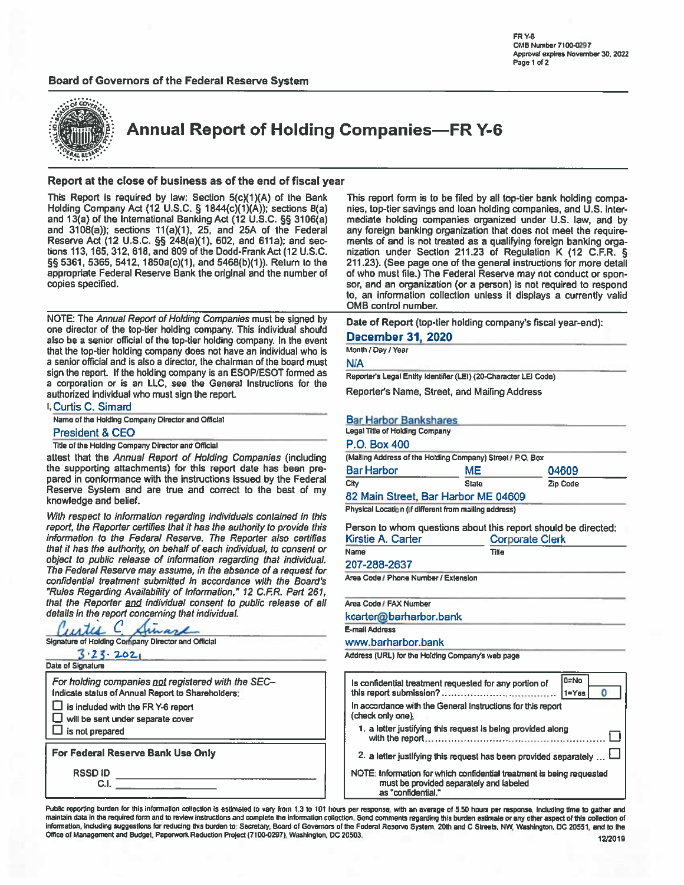# Board of Governors of the Federal Reserve System



**Annual Report of Holding Companies-FR Y-6** 

# Report at the close of business as of the end of fiscal year

This Report is required by law: Section 5(c)(1)(A) of the Bank Holding Company Act (12 U.S.C. § 1844(c)(1)(A)); sections 8(a) and 13(a) of the International Banking Act (12 U.S.C. §§ 3106(a) and 3108(a)); sections 11(a)(1), 25, and 25A of the Federal Reserve Act (12 U.S.C. §§ 248(a)(1), 602, and 611a); and sections 113, 165, 312, 618, and 809 of the Dodd-Frank Act (12 U.S.C. §§ 5361, 5365, 5412, 1850a(c)(1), and 5468(b)(1)). Return to the appropriate Federal Reserve Bank the original and the number of copies specified.

NOTE: The Annual Report of Holding Companies must be signed by one director of the top-tier holding company. This individual should also be a senior official of the top-tier holding company. In the event that the top-tier holding company does not have an individual who is a senior official and is also a director, the chairman of the board must sign the report. If the holding company is an ESOP/ESOT formed as a corporation or is an LLC, see the General Instructions for the authorized individual who must sign the report.

I. Curtis C. Simard Name of the Holding Company Director and Official

# **President & CEO**

Title of the Holding Company Director and Official

attest that the Annual Report of Holding Companies (including the supporting attachments) for this report date has been prepared in conformance with the instructions issued by the Federal Reserve System and are true and correct to the best of my knowledge and belief.

With respect to information regarding individuals contained in this report, the Reporter certifies that it has the authority to provide this information to the Federal Reserve. The Reporter also certifies that it has the authority, on behalf of each individual, to consent or object to public release of information regarding that individual. The Federal Reserve may assume, in the absence of a request for confidential treatment submitted in accordance with the Board's "Rules Regarding Availability of Information," 12 C.F.R. Part 261, that the Reporter and individual consent to public release of all details in the report concerning that individual.

| Curtis C. L                                                                                                                                                                                                         |
|---------------------------------------------------------------------------------------------------------------------------------------------------------------------------------------------------------------------|
| Signature of Holding Company Director and Official                                                                                                                                                                  |
| 3.23.2021                                                                                                                                                                                                           |
| Date of Signature                                                                                                                                                                                                   |
| For holding companies not registered with the SEC-<br>Indicate status of Annual Report to Shareholders:<br>$\Box$ is included with the FR Y-6 report<br>$\Box$ will be sent under separate cover<br>is not prepared |
| For Federal Reserve Bank Use Only                                                                                                                                                                                   |
| <b>RSSDID</b><br>C.I                                                                                                                                                                                                |

This report form is to be filed by all top-tier bank holding companies, top-tier savings and loan holding companies, and U.S. intermediate holding companies organized under U.S. law, and by any foreign banking organization that does not meet the requirements of and is not treated as a qualifying foreign banking organization under Section 211.23 of Regulation K (12 C.F.R. § 211.23). (See page one of the general instructions for more detail of who must file.) The Federal Reserve may not conduct or sponsor, and an organization (or a person) is not required to respond to, an information collection unless it displays a currently valid OMB control number.

Date of Report (top-tier holding company's fiscal year-end):

# **December 31, 2020**

# Month / Day / Year

N/A

Reporter's Legal Entity Identifier (LEI) (20-Character LEI Code)

Reporter's Name, Street, and Mailing Address

# **Bar Harbor Bankshares**

**Legal Title of Holding Company**  $P \cap \text{Box}$  400

| <b>T.V. DUA TUU</b>                                        |              |                 |
|------------------------------------------------------------|--------------|-----------------|
| (Mailing Address of the Holding Company) Street / P.O. Box |              |                 |
| <b>Bar Harbor</b>                                          | ME           | 04609           |
| City                                                       | <b>State</b> | <b>Zip Code</b> |
| 82 Main Street, Bar Harbor ME 04609                        |              |                 |

Physical Location (if different from mailing address)

Person to whom questions about this report should be directed: Kiretie A. Cart

| <b>NISUC A. Carlei</b> | <b>COLDOLISIE CIELA</b> |
|------------------------|-------------------------|
| Name                   | Title                   |
| 207-288-2637           |                         |
|                        |                         |

Area Code / Phone Number / Extension

Area Code / FAX Number

kcarter@barharbor.bank

E-mail Address

www.barharbor.bank

Address (URL) for the Holding Company's web page

| Is confidential treatment requested for any portion of                                                                                 | l 0=No<br>$1 = Yes$ |
|----------------------------------------------------------------------------------------------------------------------------------------|---------------------|
| In accordance with the General Instructions for this report<br>(check only one).                                                       |                     |
| 1. a letter justifying this request is being provided along                                                                            |                     |
| 2. a letter justifying this request has been provided separately                                                                       |                     |
| NOTE: Information for which confidential treatment is being requested<br>must be provided separately and labeled<br>as "confidential." |                     |

Public reporting burden for this information collection is estimated to vary from 1.3 to 101 hours per response, with an average of 5.50 hours per response, including time to gather and maintain data in the required form and to review instructions and complete the information collection. Send comments regarding this burden estimate or any other aspect of this collection of information, including suggestions for reducing this burden to: Secretary, Board of Governors of the Federal Reserve System, 20th and C Streets, NW, Washington, DC 20551, and to the Office of Management and Budget, Paperwork Reduction Project (7100-0297), Washington, DC 20503.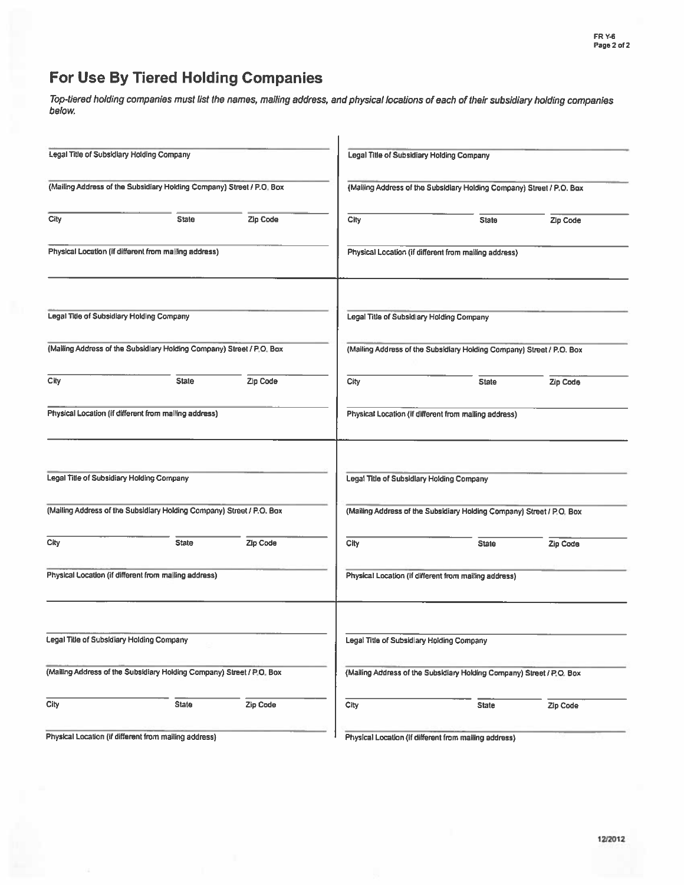# For Use By Tiered Holding Companies

Top-tiered holding companies must list the names, mailing address, and physical locations of each of their subsidiary holding companies below.

|                                           | Legal Title of Subsidiary Holding Company                             |          |                                                                       | Legal Title of Subsidiary Holding Company                             |          |  |  |  |
|-------------------------------------------|-----------------------------------------------------------------------|----------|-----------------------------------------------------------------------|-----------------------------------------------------------------------|----------|--|--|--|
|                                           | (Mailing Address of the Subsidiary Holding Company) Street / P.O. Box |          | (Mailing Address of the Subsidiary Holding Company) Street / P.O. Box |                                                                       |          |  |  |  |
| City                                      | <b>State</b>                                                          | Zip Code | City                                                                  | <b>State</b>                                                          | Zip Code |  |  |  |
|                                           | Physical Location (if different from malling address)                 |          |                                                                       | Physical Location (if different from malling address)                 |          |  |  |  |
| Legal Title of Subsidiary Holding Company |                                                                       |          |                                                                       | Legal Title of Subsidlary Holding Company                             |          |  |  |  |
|                                           | (Mailing Address of the Subsidlary Holding Company) Street / P.O. Box |          |                                                                       | (Mailing Address of the Subsidiary Holding Company) Street / P.O. Box |          |  |  |  |
| City                                      | <b>State</b>                                                          | Zip Code | City                                                                  | <b>State</b>                                                          | Zip Code |  |  |  |
|                                           | Physical Location (if different from malling address)                 |          |                                                                       | Physical Location (if different from malling address)                 |          |  |  |  |
| Legal Title of Subsidiary Holding Company |                                                                       |          |                                                                       | Legal Title of Subsidlary Holding Company                             |          |  |  |  |
|                                           | (Mailing Address of the Subsidiary Holding Company) Street / P.O. Box |          |                                                                       | (Mailing Address of the Subsidiary Holding Company) Street / P.O. Box |          |  |  |  |
| City                                      | <b>State</b>                                                          | Zip Code | City                                                                  | <b>State</b>                                                          | Zip Code |  |  |  |
|                                           | Physical Location (if different from malling address)                 |          |                                                                       | Physical Location (if different from mailing address)                 |          |  |  |  |
| Legal Title of Subsidiary Holding Company |                                                                       |          |                                                                       | Legal Title of Subsidlary Holding Company                             |          |  |  |  |
|                                           | (Mailing Address of the Subsidiary Holding Company) Street / P.O. Box |          |                                                                       | (Mailing Address of the Subsidiary Holding Company) Street / P.O. Box |          |  |  |  |
| City                                      | <b>State</b>                                                          | Zip Code | City                                                                  | <b>State</b>                                                          | Zip Code |  |  |  |
|                                           | Physical Location (if different from mailing address)                 |          |                                                                       | Physical Location (if different from mailing address)                 |          |  |  |  |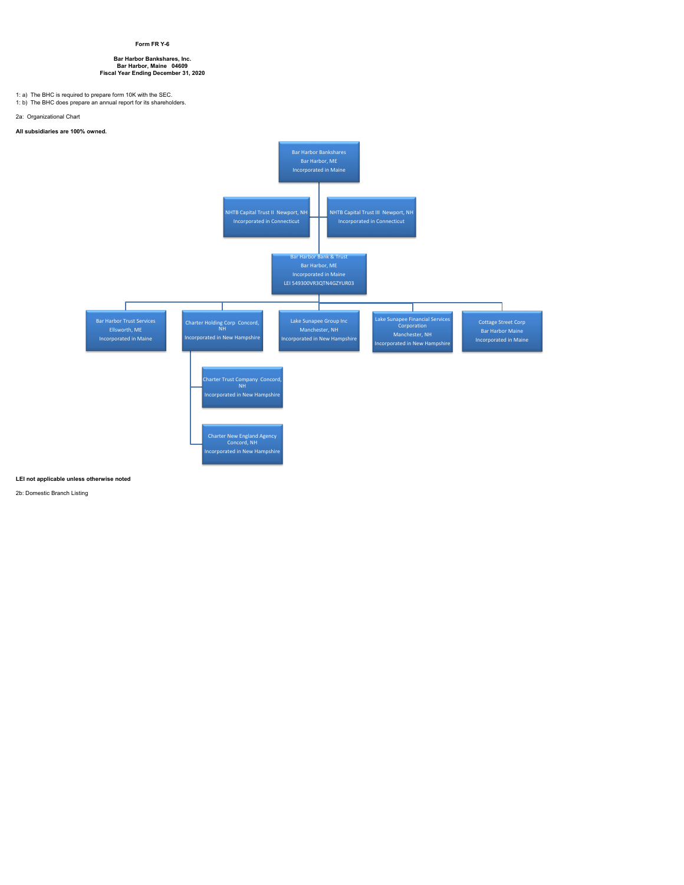### **Form FR Y-6**

# **Bar Harbor Bankshares, Inc. Bar Harbor, Maine 04609 Fiscal Year Ending December 31, 2020**

1: a) The BHC is required to prepare form 10K with the SEC. 1: b) The BHC does prepare an annual report for its shareholders.

2a: Organizational Chart

# **All subsidiaries are 100% owned.**



### **LEI not applicable unless otherwise noted**

2b: Domestic Branch Listing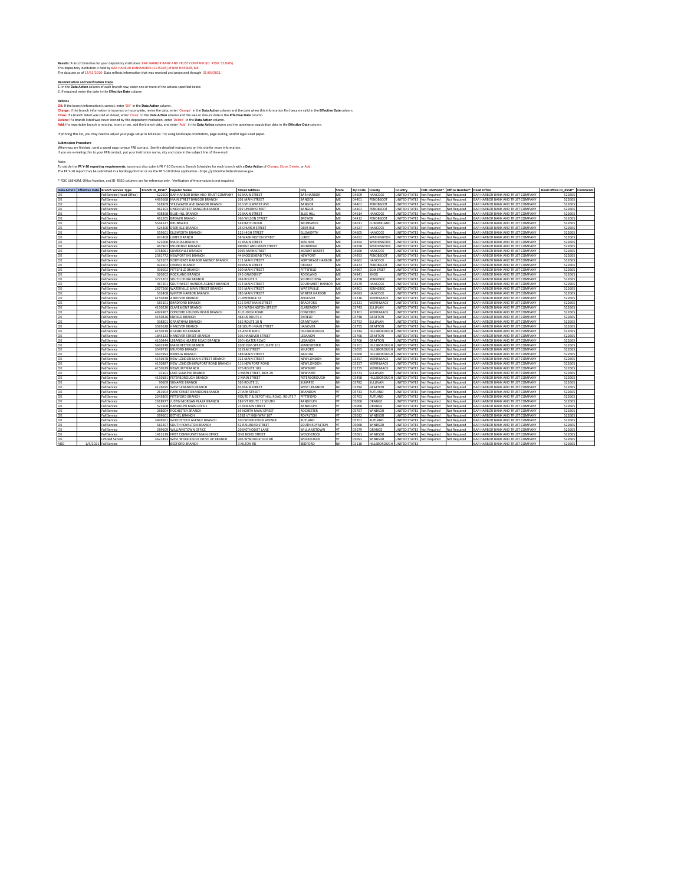**Results:** A list of branches for your depository mstitution: BAR HARBOR BANK AND TRUST COMPANY (ID: RSSD: 522605)<br>This depository institution is held by BAR HARBOR BANKSHARES (1115385) of BAR HARBOR, ME.<br>The data are as o

**Reconciliation and Verification Steps**<br>1. In the <mark>Data Action</mark> column of each branch row, enter one or more of the actions specified below<br>2. If required, enter the date in the **Effective Date** column

Advoch the branch information is correct, enter 'OK' in the Data Action column.<br>Change: If the branch information is incorrect in complete, enter the data action column and the date when this information first became valid

If printing this list, you may need to adjust your page setup in MS Excel. Try using landscape orientation, page scaling, and/or legal sized paper.

Submission Procedure<br>When you are finished, send a saved copy to your FRB contact. See the detailed instructions on this site for more information<br>If you are e-mailing this to your FRB contact, put your institution name, c

Note:<br>To satify the **FR Y-10 reporting requirements**, you must also submit FR Y-10 Domestic Branch Schedules for each branch with a **Data Action** of Change, Close, Delete, or Add<br>The FR Y-10 report may be submitted in a ha

\* FDIC UNINUM, Office Number, and ID RSSD columns are for reference only. Verification of these values is not required.

| BAR HARBOR<br>04609<br>HANCOCK<br>522605<br>Full Service (Head Office)<br>522605<br>BAR HARBOR BANK AND TRUST COMPANY<br>82 MAIN STREET<br>ME<br>UNITED STATES<br>AR HARBOR BANK AND TRUST COMPANY<br><b>Not Required</b><br>Not Required<br>4495668<br>Full Service<br>MAIN STREET BANGOR BRANCH<br>201 MAIN STREET<br>BANGOR<br>ME<br>04401<br>PENOBSCOT<br>UNITED STATES<br><b>Not Required</b><br>Not Required<br>AR HARBOR BANK AND TRUST COMPANY<br>522605<br>04401<br>PENOBSCOT<br>522605<br><b>Full Service</b><br>518309<br>STILLWATER AVE BANGOR BRANCH<br>920 STILLWATER AVE<br>BANGOR<br>MF<br>UNITED STATES<br>Not Required<br>Not Required<br><b>3AR HARBOR BANK AND TRUST COMPANY</b><br>MF<br>522605<br>Full Service<br>462103<br>UNION STREET BANGOR BRANCH<br>992 UNION STREET<br><b>ANGOR</b><br>04401<br>PENOBSCOT<br><b>JNITED STATES</b><br>Not Required<br>AR HARBOR BANK AND TRUST COMPANY<br><b>Not Required</b><br>ME<br><b>Full Service</b><br>498308<br>BLUE HILL BRANCH<br>21 MAIN STREET<br><b>BLUE HILL</b><br>04614<br>HANCOCK<br>UNITED STATES<br>Not Required<br>522605<br>Not Required<br>3AR HARBOR BANK AND TRUST COMPANY<br>522609<br>462505<br><b>BREWER BRANCH</b><br>366 WILSON STREET<br>BREWER<br>ME<br>04412<br>PENOBSCOT<br>UNITED STATES<br><b>3AR HARBOR BANK AND TRUST COMPANY</b><br><b>Full Service</b><br><b>Not Required</b><br>Not Required<br>5544527<br><b>BRUNSWICK</b><br>148 BATH ROAD<br>ME<br>04011<br>CUMBERLAND<br><b>JNITED STATES</b><br>AR HARBOR BANK AND TRUST COMPANY<br>522605<br>Full Service<br>BRUNSWICK<br><b>Not Required</b><br>Not Required<br>MF<br>04627<br><b>Full Service</b><br>524300<br>DEER ISLE BRANCH<br>25 CHURCH STREET<br>DEER ISLE<br><b>HANCOCK</b><br>522605<br><b>JNITED STATES</b><br>Not Required<br>AR HARBOR BANK AND TRUST COMPANY<br><b>Vot Required</b><br>04605<br>HANCOCK<br>522609<br>Full Service<br>559601<br><b>FLISWORTH RRANCH</b><br><b>125 HIGH STREET</b><br><b>ELLSWORTH</b><br>MF<br>INITED STATES<br>Not Required<br>Not Required<br>AR HARROR RANK AND TRUST COMPANY<br>431408<br>LUBEC BRANCH<br>ME<br>04652<br>WASHINGTON<br>UNITED STATES<br>522605<br><b>Full Service</b><br>68 WASHINGTON STREET<br><b>UBEC</b><br>Not Required<br>Not Required<br><b>SAR HARBOR BANK AND TRUST COMPANY</b><br>0K<br>521000<br><b>41 MAIN STREET</b><br>MACHIAS<br>ME<br>04654<br>522605<br><b>Full Service</b><br>MACHIAS BRANCH<br><b>WASHINGTON</b><br>UNITED STATES<br>Not Required<br><b>3AR HARBOR BANK AND TRUST COMPANY</b><br><b>Not Required</b><br>04658<br>522605<br><b>Full Service</b><br>467902<br>MILBRIDGE BRANCH<br>BRIDGE AND MAIN STREET<br>MILBRIDGE<br>ME<br><b>WASHINGTON</b><br>UNITED STATES<br><b>Not Required</b><br>Not Required<br><b>3AR HARBOR BANK AND TRUST COMPANY</b><br>3718061<br>04660<br>HANCOCK<br>522605<br>SOMESVILLE BRANCH<br>1055 MAIN STREET<br><b>MOUNT DESERT</b><br>MF<br>UNITED STATES<br>Not Required<br>Not Required<br>AR HARBOR BANK AND TRUST COMPANY<br><b>Full Service</b><br>0K<br>MF<br>04957<br>522605<br>Full Service<br>2581772<br>NEWPORT ME RRANCH<br>44 MOOSEHEAD TRAIL<br>NEWPORT<br>PENOBSCOT<br><b>JNITED STATES</b><br><b>Not Required</b><br>Not Required<br>AR HARBOR BANK AND TRUST COMPANY<br>ME<br><b>Full Service</b><br>523107<br>NORTHEAST HARBOR AGENCY BRANCH<br>111 MAIN STREET<br>NORTHEAST HARBOR<br>04662<br><b>HANCOCK</b><br>UNITED STATES<br>522605<br>Not Required<br>Not Required<br>3AR HARBOR BANK AND TRUST COMPANY<br>493602<br>ORONO BRANCH<br>04473<br>PENOBSCOT<br>UNITED STATES<br>522605<br><b>Full Service</b><br><b>69 MAIN STREET</b><br>ORONO<br>ME<br><b>Not Required</b><br>Not Required<br>3AR HARBOR BANK AND TRUST COMPANY<br>396002<br>PITTSFIELD BRANCH<br>109 MAIN STREET<br>PITTSFIELD<br>04967<br>SOMERSET<br><b>JNITED STATES</b><br><b>3AR HARBOR BANK AND TRUST COMPANY</b><br>522605<br>Full Service<br>ME<br><b>Not Required</b><br>Not Required<br>245 CAMDEN ST<br>ROCKLAND<br>MF<br>04841<br>KNOX<br>522605<br><b>Full Service</b><br>320502<br>ROCKLAND BRANCH<br>UNITED STATES<br>Not Required<br><b>Not Required</b><br>3AR HARBOR BANK AND TRUST COMPANY<br>522605<br>3773202<br>SOUTH CHINA BRANCH<br>368 ROUTE 3<br><b>SOLITH CHINA</b><br>MF<br>04358<br>KENNEBEC<br>INITED STATES<br>Not Required<br>Not Required<br><b>3AR HARBOR BANK AND TRUST COMPANY</b><br><b>Full Service</b><br>467201<br>SOUTHWEST HARBOR AGENCY BRANCH<br>314 MAIN STREET<br>SOUTHWEST HARBOR<br>ME<br>04679<br>HANCOCK<br>UNITED STATES<br>522605<br><b>Full Service</b><br>Not Required<br>Not Required<br><b>3AR HARBOR BANK AND TRUST COMPANY</b><br>2877260<br>ME<br>04901<br>KENNEBEC<br>522605<br><b>Full Service</b><br>WATERVILLE MAIN STREET BRANCH<br>335 MAIN STREET<br>WATERVILLE<br>UNITED STATES<br><b>3AR HARBOR BANK AND TRUST COMPANY</b><br><b>Not Required</b><br>Not Required<br>532408<br><b>Full Service</b><br>WINTER HARBOR BRANCH<br>385 MAIN STREET<br><b>WINTER HARBOR</b><br>ME<br>04693<br>HANCOCK<br>UNITED STATES<br><b>Not Required</b><br>Not Required<br>522609<br>AR HARBOR BANK AND TRUST COMPANY<br>4150248<br>03216<br>522605<br><b>Full Service</b><br>ANDOVER BRANCH<br>7 LAWRENCE ST<br>ANDOVER<br><b>NH</b><br>MERRIMACK<br><b>UNITED STATES</b><br>Not Required<br>Not Required<br><b>3AR HARBOR BANK AND TRUST COMPANY</b><br>522605<br>Full Service<br>583101<br><b>BRADFORD BRANCH</b><br>115 EAST MAIN STREET<br>BRADFORD<br>NН<br>03221<br>MERRIMACK<br><b>JNITED STATES</b><br>Not Required<br>AR HARBOR BANK AND TRUST COMPANY<br><b>Not Required</b><br>03743<br><b>Full Service</b><br>4150220<br><b>CLAREMONT BRANCH</b><br>345 WASHINGTON STREET<br>CLAREMONT<br>NH<br>SULLIVAN<br>UNITED STATES<br>522605<br>Not Required<br>Not Required<br>AR HARBOR BANK AND TRUST COMPANY<br>522605<br>4974967<br>CONCORD LOUDON ROAD BRANCH<br>8 LOUDON ROAD<br>NH.<br>03301<br>MERRIMACK<br>UNITED STATES<br><b>Full Service</b><br>CONCORD<br>Not Required<br>Not Required<br>BAR HARBOR BANK AND TRUST COMPANY<br>4150426<br><b>ENFIELD BRANCH</b><br>468 US ROUTE 4<br>NH.<br>03748<br>GRAFTON<br>UNITED STATES<br>AR HARBOR BANK AND TRUST COMPANY<br>522605<br>Full Service<br>ENFIELD<br>Not Required<br>Not Required<br>03753<br>338301<br>165 ROUTE 10 N<br><b>GRANTHAM</b><br><b>NH</b><br>522605<br><b>Full Service</b><br><b>GRANTHAM BRANCH</b><br>SHITIVAN<br>UNITED STATES<br><b>Not Required</b><br>AR HARBOR BANK AND TRUST COMPANY<br><b>Not Required</b><br>3595628<br>HANOVER BRANCH<br>68 SOUTH MAIN STREET<br>HANOVER<br>NH<br>03755<br>GRAFTON<br>UNITED STATES<br>522605<br><b>Full Service</b><br>Not Required<br>Not Required<br>3AR HARBOR BANK AND TRUST COMPANY<br>4150239<br>HILLSBORO BRANCH<br>15 ANTRIM RD<br>HILLSBOROUGH<br>03244<br><b>HILLSBOROUG</b><br><b>UNITED STATES</b><br>522605<br>Full Service<br>NH.<br>Not Required<br>Not Required<br><b>3AR HARBOR BANK AND TRUST COMPANY</b><br>HANOVER STREET BRANCH<br>106 HANOVER STREET<br>NН<br>03766<br><b>GRAFTON</b><br><b>JNITED STATES</b><br>522605<br><b>Full Service</b><br>1845123<br>EBANON<br>lot Required<br>Not Required<br>AR HARBOR BANK AND TRUST COMPANY<br>LEBANON HEATER ROAD BRANCH<br>200 HEATER ROAD<br><b>NH</b><br>03766<br><b>GRAFTON</b><br>UNITED STATES<br>522605<br><b>Full Service</b><br>4150444<br>LEBANON<br>Not Required<br>Not Required<br>BAR HARBOR BANK AND TRUST COMPANY<br>5432978<br>522605<br>MANCHESTER RRANCH<br>1000 ELM STREET, SUITE 101<br>MANCHESTER<br><b>NH</b><br>03101<br>HILLSBOROLIGE<br><b>UNITED STATES</b><br>Not Required<br><b>Full Service</b><br>Not Required<br><b>SAR HARBOR BANK AND TRUST COMPANY</b><br>3549715<br>MILFORD BRANCH<br>32 ELM STREET<br>MILFORD<br>NH<br>03055<br>HILLSBOROUG<br>UNITED STATES<br>522605<br><b>Full Service</b><br><b>Vot Required</b><br><b>Not Required</b><br><b>SAR HARBOR BANK AND TRUST COMPANY</b><br><b>Full Service</b><br>3637993<br>NASHUA BRANCH<br>188 MAIN STREET<br>NASHUA<br>NH<br>03060<br><b>HILLSBOROUGH</b><br><b>UNITED STATES</b><br>Not Required<br><b>3AR HARBOR BANK AND TRUST COMPANY</b><br>522605<br>Not Required<br>4150378<br>NEW LONDON MAIN STREET BRANCH<br>321 MAIN STREET<br>03257<br>MERRIMACK<br><b>JNITED STATES</b><br>522605<br><b>Full Service</b><br>NEW LONDON<br>NH.<br><b>Vot Required</b><br>Not Required<br>AR HARBOR BANK AND TRUST COMPANY<br>4150387<br>NEW LONDON NEWPORT ROAD BRANCH<br>03257<br>MERRIMACK<br>UNITED STATES<br>522605<br>Full Service<br>116 NEWPORT ROAD<br>NEW LONDON<br>NH<br>Not Required<br>Not Required<br><b>3AR HARBOR BANK AND TRUST COMPANY</b><br><b>NH</b><br>03255<br>522605<br><b>Full Service</b><br>4150529<br>NEWBURY BRANCH<br>976 ROUTE 103<br>NEWBURY<br>MERRIMACK<br><b>UNITED STATES</b><br>Not Required<br>Not Required<br><b>SAR HARBOR BANK AND TRUST COMPANY</b><br>91101<br>LAKE SUNAPEE BRANCH<br>9 MAIN STREET, BOX 29<br>NH<br>03773<br>SULLIVAN<br>UNITED STATES<br>522605<br><b>Full Service</b><br>NEWPORT<br><b>Not Required</b><br>Not Required<br>3AR HARBOR BANK AND TRUST COMPANY<br>4150181<br>PETERBOROUGH BRANCH<br>2 MAIN STREET<br>03458<br><b>HILLSBOROUGI</b><br><b>UNITED STATES</b><br>522605<br><b>Full Service</b><br>PETERBOROUGH<br>NH.<br>Not Required<br>Not Required<br><b>3AR HARBOR BANK AND TRUST COMPANY</b><br>90609<br><b>565 ROUTE 11</b><br>03782<br><b>JNITED STATES</b><br>522605<br><b>Full Service</b><br>SUNAPEE BRANCH<br>SUNAPEE<br>űН<br>SULLIVAN<br><b>Vot Required</b><br>Not Required<br>AR HARBOR BANK AND TRUST COMPANY<br><b>Full Service</b><br>4176695<br>WEST LEBANON BRANCH<br>83 MAIN STREET<br>WEST LEBANON<br>NH<br>03784<br>GRAFTON<br>UNITED STATES<br>522605<br>Not Required<br>Not Required<br><b>3AR HARBOR BANK AND TRUST COMPANY</b><br>522605<br>261904 PARK STREET BRANDON BRANCH<br><b>2 PARK STREET</b><br>RRANDON<br>05733<br>RUTLAND<br><b>UNITED STATES</b><br><b>Full Service</b><br>vT<br>Not Required<br>Not Required<br>3AR HARBOR BANK AND TRUST COMPANY<br>2245805<br>PITTSFORD BRANCH<br>ROUTE 7 & DEPOT HILL ROAD, ROUTE 7<br>05763<br>RUTLAND<br><b>JNITED STATES</b><br>522605<br><b>Full Service</b><br>PITTSFORD<br><b>Not Required</b><br>Not Required<br><b>SAR HARBOR BANK AND TRUST COMPANY</b><br><b>Full Service</b><br>2618977<br>JUSTIN MORGAN PLAZA BRANCH<br>189 VT ROUTE 12 SOUTH<br>RANDOLPH<br>VT<br>05060<br>ORANGE<br>UNITED STATES<br>522605<br><b>Not Required</b><br>Not Required<br>AR HARBOR BANK AND TRUST COMPANY<br>RANDOLPH MAIN OFFICE<br>21 N MAIN STREET<br>05060<br>ORANGE<br>UNITED STATES<br>522605<br><b>Full Service</b><br>521608<br>RANDOLPH<br>VT<br><b>Vot Required</b><br>Not Required<br><b>3AR HARBOR BANK AND TRUST COMPANY</b><br>288004<br>ROCHESTER BRANCH<br>85 NORTH MAIN STREET<br>ROCHESTER<br>05767<br>WINDSOR<br>UNITED STATES<br><b>3AR HARBOR BANK AND TRUST COMPANY</b><br>522605<br>Full Service<br>Not Required<br>Not Required<br>vT<br>05032<br>VT<br><b>WINDSOR</b><br>522605<br><b>Full Service</b><br>399601<br>RETHEL RRANCH<br>1583 VT HIGHWAY 107<br>ROYALTON<br>UNITED STATES<br><b>Vot Required</b><br>Not Required<br><b>SAR HARBOR BANK AND TRUST COMPANY</b><br>3449561<br>WOODSTOCK AVENUE BRANCH<br>100 WOODSTOCK AVENUE<br>05701<br>RUTLAND<br>UNITED STATES<br>522605<br><b>Full Service</b><br>RUTLAND<br>VT<br>Not Required<br>Not Required<br><b>3AR HARBOR BANK AND TRUST COMPANY</b><br>582207<br>05068<br>WINDSOR<br>522605<br>Full Service<br>SOUTH ROYALTON BRANCH<br>52 RAILROAD STREET<br>SOUTH ROYALTON<br>UNITED STATES<br>Not Required<br><b>3AR HARBOR BANK AND TRUST COMPANY</b><br>vτ<br>Not Required<br>289609<br>05679<br>DRANGE<br>522605<br><b>Full Service</b><br>WILLIAMSTOWN OFFICE<br>20 METHODIST LANE<br>WILLIAMSTOWN<br><b>JNITED STATES</b><br>lot Required<br>Not Required<br>AR HARBOR BANK AND TRUST COMPANY<br>05091<br>WINDSOR<br>522605<br><b>Full Service</b><br>1413139<br>FIRST COMMUNITY MAIN OFFICE<br>ONE BOND STREET<br>WOODSTOCK<br>VT<br>UNITED STATES<br><b>Not Required</b><br>Not Required<br><b>3AR HARBOR BANK AND TRUST COMPANY</b><br>3621853<br>WEST WOODSTOCK DRIVE UP BRANCH<br>906 W WOODSTOCK RD<br>05091<br><b>WINDSOR</b><br><b>3AR HARBOR BANK AND TRUST COMPANY</b><br>522605<br>imited Service<br>WOODSTOCK<br>UNITED STATES<br>Not Required<br>Not Required<br>VT<br><b>ADD</b><br>1/5/2021 Full Service<br>BEDFORD BRANCH<br>3 KILTON RD<br>BEDFORD<br>NH<br>03110<br>HILLSBOROUGH<br><b>UNITED STATES</b><br><b>3AR HARBOR BANK AND TRUST COMPANY</b><br>522605 |           | Data Action   Effective Date   Branch Service Type | Branch ID RSSD* | <b>Popular Name</b> | <b>Street Address</b> | City | State | Zip Code County | Country | FDIC UNINUM* Office Number* | <b>Head Office</b> | Head Office ID RSSD* Comments |  |
|-----------------------------------------------------------------------------------------------------------------------------------------------------------------------------------------------------------------------------------------------------------------------------------------------------------------------------------------------------------------------------------------------------------------------------------------------------------------------------------------------------------------------------------------------------------------------------------------------------------------------------------------------------------------------------------------------------------------------------------------------------------------------------------------------------------------------------------------------------------------------------------------------------------------------------------------------------------------------------------------------------------------------------------------------------------------------------------------------------------------------------------------------------------------------------------------------------------------------------------------------------------------------------------------------------------------------------------------------------------------------------------------------------------------------------------------------------------------------------------------------------------------------------------------------------------------------------------------------------------------------------------------------------------------------------------------------------------------------------------------------------------------------------------------------------------------------------------------------------------------------------------------------------------------------------------------------------------------------------------------------------------------------------------------------------------------------------------------------------------------------------------------------------------------------------------------------------------------------------------------------------------------------------------------------------------------------------------------------------------------------------------------------------------------------------------------------------------------------------------------------------------------------------------------------------------------------------------------------------------------------------------------------------------------------------------------------------------------------------------------------------------------------------------------------------------------------------------------------------------------------------------------------------------------------------------------------------------------------------------------------------------------------------------------------------------------------------------------------------------------------------------------------------------------------------------------------------------------------------------------------------------------------------------------------------------------------------------------------------------------------------------------------------------------------------------------------------------------------------------------------------------------------------------------------------------------------------------------------------------------------------------------------------------------------------------------------------------------------------------------------------------------------------------------------------------------------------------------------------------------------------------------------------------------------------------------------------------------------------------------------------------------------------------------------------------------------------------------------------------------------------------------------------------------------------------------------------------------------------------------------------------------------------------------------------------------------------------------------------------------------------------------------------------------------------------------------------------------------------------------------------------------------------------------------------------------------------------------------------------------------------------------------------------------------------------------------------------------------------------------------------------------------------------------------------------------------------------------------------------------------------------------------------------------------------------------------------------------------------------------------------------------------------------------------------------------------------------------------------------------------------------------------------------------------------------------------------------------------------------------------------------------------------------------------------------------------------------------------------------------------------------------------------------------------------------------------------------------------------------------------------------------------------------------------------------------------------------------------------------------------------------------------------------------------------------------------------------------------------------------------------------------------------------------------------------------------------------------------------------------------------------------------------------------------------------------------------------------------------------------------------------------------------------------------------------------------------------------------------------------------------------------------------------------------------------------------------------------------------------------------------------------------------------------------------------------------------------------------------------------------------------------------------------------------------------------------------------------------------------------------------------------------------------------------------------------------------------------------------------------------------------------------------------------------------------------------------------------------------------------------------------------------------------------------------------------------------------------------------------------------------------------------------------------------------------------------------------------------------------------------------------------------------------------------------------------------------------------------------------------------------------------------------------------------------------------------------------------------------------------------------------------------------------------------------------------------------------------------------------------------------------------------------------------------------------------------------------------------------------------------------------------------------------------------------------------------------------------------------------------------------------------------------------------------------------------------------------------------------------------------------------------------------------------------------------------------------------------------------------------------------------------------------------------------------------------------------------------------------------------------------------------------------------------------------------------------------------------------------------------------------------------------------------------------------------------------------------------------------------------------------------------------------------------------------------------------------------------------------------------------------------------------------------------------------------------------------------------------------------------------------------------------------------------------------------------------------------------------------------------------------------------------------------------------------------------------------------------------------------------------------------------------------------------------------------------------------------------------------------------------------------------------------------------------------------------------------------------------------------------------------------------------------------------------------------------------------------------------------------------------------------------------------------------------------------------------------------------------------------------------------------------------------------------------------------------------------------------------------------------------------------------------------------------------------------------------------------------------------------------------------------------------------------------------------------------------------------------------------------------------------------------------------------------------------------------------------------------------------------------------------------------------------------------------------------------------------------------------------------------------------------------------------------------------------------------------------------------------------------------------------------------------------------------------------------------------------------------------------------------------------------------------------------------------------------------------------------------------------------------------------------------------------------------------------------------------------------------------------------------------------------------------------------------------------------------------------------------------------------------------------------------------------------------------------------------------------------------------------------------------------------------------------------------------------------------------------------------------------------------------------------------------------------------------------------------------------------------------------------------------------------------------------------------------------------------------------------------------------------------------------------------------------------------------------------------------------------------------------------------------------------------------------------------------------------------------------------------------------------------------------------------------------------------------------------------------------------------------------------------------------------------------------------------------------------------------------------------------------------------------------------------------------------------------------------------------------------------------------------------------------------------------------------------------------------------------------------------------------------------------------------------------------------------------------------------------------------------------------------------------------------------------------------------------------------------------------------------------------------------------------------------------------------------------------------------------------------------------------------------------------------------------------------------------------------------------------------------------------------------------------------------------------------------------------------------------------------------------------------------------------------------------------------------------------------------------------------------------------------------------------------------------------------------------------------------------------------------------------------------------------------------------|-----------|----------------------------------------------------|-----------------|---------------------|-----------------------|------|-------|-----------------|---------|-----------------------------|--------------------|-------------------------------|--|
|                                                                                                                                                                                                                                                                                                                                                                                                                                                                                                                                                                                                                                                                                                                                                                                                                                                                                                                                                                                                                                                                                                                                                                                                                                                                                                                                                                                                                                                                                                                                                                                                                                                                                                                                                                                                                                                                                                                                                                                                                                                                                                                                                                                                                                                                                                                                                                                                                                                                                                                                                                                                                                                                                                                                                                                                                                                                                                                                                                                                                                                                                                                                                                                                                                                                                                                                                                                                                                                                                                                                                                                                                                                                                                                                                                                                                                                                                                                                                                                                                                                                                                                                                                                                                                                                                                                                                                                                                                                                                                                                                                                                                                                                                                                                                                                                                                                                                                                                                                                                                                                                                                                                                                                                                                                                                                                                                                                                                                                                                                                                                                                                                                                                                                                                                                                                                                                                                                                                                                                                                                                                                                                                                                                                                                                                                                                                                                                                                                                                                                                                                                                                                                                                                                                                                                                                                                                                                                                                                                                                                                                                                                                                                                                                                                                                                                                                                                                                                                                                                                                                                                                                                                                                                                                                                                                                                                                                                                                                                                                                                                                                                                                                                                                                                                                                                                                                                                                                                                                                                                                                                                                                                                                                                                                                                                                                                                                                                                                                                                                                                                                                                                                                                                                                                                                                                                                                                                                                                                                                                                                                                                                                                                                                                                                                                                                                                                                                                                                                                                                                                                                                                                                                                                                                                                                                                                                                                                                                                                                                                                                                                                                                                                                                                                                                                                                                                                                                                                                                                                                                                                                                                                                                                                                                                                                                                                                                                                                                                                                                                                                                                                                                                                                                                                                                                                                                                                                                                                                                                                                                                                                                                                                                                                                                                                                                                                                                                                                                                                                                                                                                                                                                                                               | OK        |                                                    |                 |                     |                       |      |       |                 |         |                             |                    |                               |  |
|                                                                                                                                                                                                                                                                                                                                                                                                                                                                                                                                                                                                                                                                                                                                                                                                                                                                                                                                                                                                                                                                                                                                                                                                                                                                                                                                                                                                                                                                                                                                                                                                                                                                                                                                                                                                                                                                                                                                                                                                                                                                                                                                                                                                                                                                                                                                                                                                                                                                                                                                                                                                                                                                                                                                                                                                                                                                                                                                                                                                                                                                                                                                                                                                                                                                                                                                                                                                                                                                                                                                                                                                                                                                                                                                                                                                                                                                                                                                                                                                                                                                                                                                                                                                                                                                                                                                                                                                                                                                                                                                                                                                                                                                                                                                                                                                                                                                                                                                                                                                                                                                                                                                                                                                                                                                                                                                                                                                                                                                                                                                                                                                                                                                                                                                                                                                                                                                                                                                                                                                                                                                                                                                                                                                                                                                                                                                                                                                                                                                                                                                                                                                                                                                                                                                                                                                                                                                                                                                                                                                                                                                                                                                                                                                                                                                                                                                                                                                                                                                                                                                                                                                                                                                                                                                                                                                                                                                                                                                                                                                                                                                                                                                                                                                                                                                                                                                                                                                                                                                                                                                                                                                                                                                                                                                                                                                                                                                                                                                                                                                                                                                                                                                                                                                                                                                                                                                                                                                                                                                                                                                                                                                                                                                                                                                                                                                                                                                                                                                                                                                                                                                                                                                                                                                                                                                                                                                                                                                                                                                                                                                                                                                                                                                                                                                                                                                                                                                                                                                                                                                                                                                                                                                                                                                                                                                                                                                                                                                                                                                                                                                                                                                                                                                                                                                                                                                                                                                                                                                                                                                                                                                                                                                                                                                                                                                                                                                                                                                                                                                                                                                                                                                                                               | <b>OK</b> |                                                    |                 |                     |                       |      |       |                 |         |                             |                    |                               |  |
|                                                                                                                                                                                                                                                                                                                                                                                                                                                                                                                                                                                                                                                                                                                                                                                                                                                                                                                                                                                                                                                                                                                                                                                                                                                                                                                                                                                                                                                                                                                                                                                                                                                                                                                                                                                                                                                                                                                                                                                                                                                                                                                                                                                                                                                                                                                                                                                                                                                                                                                                                                                                                                                                                                                                                                                                                                                                                                                                                                                                                                                                                                                                                                                                                                                                                                                                                                                                                                                                                                                                                                                                                                                                                                                                                                                                                                                                                                                                                                                                                                                                                                                                                                                                                                                                                                                                                                                                                                                                                                                                                                                                                                                                                                                                                                                                                                                                                                                                                                                                                                                                                                                                                                                                                                                                                                                                                                                                                                                                                                                                                                                                                                                                                                                                                                                                                                                                                                                                                                                                                                                                                                                                                                                                                                                                                                                                                                                                                                                                                                                                                                                                                                                                                                                                                                                                                                                                                                                                                                                                                                                                                                                                                                                                                                                                                                                                                                                                                                                                                                                                                                                                                                                                                                                                                                                                                                                                                                                                                                                                                                                                                                                                                                                                                                                                                                                                                                                                                                                                                                                                                                                                                                                                                                                                                                                                                                                                                                                                                                                                                                                                                                                                                                                                                                                                                                                                                                                                                                                                                                                                                                                                                                                                                                                                                                                                                                                                                                                                                                                                                                                                                                                                                                                                                                                                                                                                                                                                                                                                                                                                                                                                                                                                                                                                                                                                                                                                                                                                                                                                                                                                                                                                                                                                                                                                                                                                                                                                                                                                                                                                                                                                                                                                                                                                                                                                                                                                                                                                                                                                                                                                                                                                                                                                                                                                                                                                                                                                                                                                                                                                                                                                                                               | 0K.       |                                                    |                 |                     |                       |      |       |                 |         |                             |                    |                               |  |
|                                                                                                                                                                                                                                                                                                                                                                                                                                                                                                                                                                                                                                                                                                                                                                                                                                                                                                                                                                                                                                                                                                                                                                                                                                                                                                                                                                                                                                                                                                                                                                                                                                                                                                                                                                                                                                                                                                                                                                                                                                                                                                                                                                                                                                                                                                                                                                                                                                                                                                                                                                                                                                                                                                                                                                                                                                                                                                                                                                                                                                                                                                                                                                                                                                                                                                                                                                                                                                                                                                                                                                                                                                                                                                                                                                                                                                                                                                                                                                                                                                                                                                                                                                                                                                                                                                                                                                                                                                                                                                                                                                                                                                                                                                                                                                                                                                                                                                                                                                                                                                                                                                                                                                                                                                                                                                                                                                                                                                                                                                                                                                                                                                                                                                                                                                                                                                                                                                                                                                                                                                                                                                                                                                                                                                                                                                                                                                                                                                                                                                                                                                                                                                                                                                                                                                                                                                                                                                                                                                                                                                                                                                                                                                                                                                                                                                                                                                                                                                                                                                                                                                                                                                                                                                                                                                                                                                                                                                                                                                                                                                                                                                                                                                                                                                                                                                                                                                                                                                                                                                                                                                                                                                                                                                                                                                                                                                                                                                                                                                                                                                                                                                                                                                                                                                                                                                                                                                                                                                                                                                                                                                                                                                                                                                                                                                                                                                                                                                                                                                                                                                                                                                                                                                                                                                                                                                                                                                                                                                                                                                                                                                                                                                                                                                                                                                                                                                                                                                                                                                                                                                                                                                                                                                                                                                                                                                                                                                                                                                                                                                                                                                                                                                                                                                                                                                                                                                                                                                                                                                                                                                                                                                                                                                                                                                                                                                                                                                                                                                                                                                                                                                                                                                               | 0K        |                                                    |                 |                     |                       |      |       |                 |         |                             |                    |                               |  |
|                                                                                                                                                                                                                                                                                                                                                                                                                                                                                                                                                                                                                                                                                                                                                                                                                                                                                                                                                                                                                                                                                                                                                                                                                                                                                                                                                                                                                                                                                                                                                                                                                                                                                                                                                                                                                                                                                                                                                                                                                                                                                                                                                                                                                                                                                                                                                                                                                                                                                                                                                                                                                                                                                                                                                                                                                                                                                                                                                                                                                                                                                                                                                                                                                                                                                                                                                                                                                                                                                                                                                                                                                                                                                                                                                                                                                                                                                                                                                                                                                                                                                                                                                                                                                                                                                                                                                                                                                                                                                                                                                                                                                                                                                                                                                                                                                                                                                                                                                                                                                                                                                                                                                                                                                                                                                                                                                                                                                                                                                                                                                                                                                                                                                                                                                                                                                                                                                                                                                                                                                                                                                                                                                                                                                                                                                                                                                                                                                                                                                                                                                                                                                                                                                                                                                                                                                                                                                                                                                                                                                                                                                                                                                                                                                                                                                                                                                                                                                                                                                                                                                                                                                                                                                                                                                                                                                                                                                                                                                                                                                                                                                                                                                                                                                                                                                                                                                                                                                                                                                                                                                                                                                                                                                                                                                                                                                                                                                                                                                                                                                                                                                                                                                                                                                                                                                                                                                                                                                                                                                                                                                                                                                                                                                                                                                                                                                                                                                                                                                                                                                                                                                                                                                                                                                                                                                                                                                                                                                                                                                                                                                                                                                                                                                                                                                                                                                                                                                                                                                                                                                                                                                                                                                                                                                                                                                                                                                                                                                                                                                                                                                                                                                                                                                                                                                                                                                                                                                                                                                                                                                                                                                                                                                                                                                                                                                                                                                                                                                                                                                                                                                                                                                                               | OK        |                                                    |                 |                     |                       |      |       |                 |         |                             |                    |                               |  |
|                                                                                                                                                                                                                                                                                                                                                                                                                                                                                                                                                                                                                                                                                                                                                                                                                                                                                                                                                                                                                                                                                                                                                                                                                                                                                                                                                                                                                                                                                                                                                                                                                                                                                                                                                                                                                                                                                                                                                                                                                                                                                                                                                                                                                                                                                                                                                                                                                                                                                                                                                                                                                                                                                                                                                                                                                                                                                                                                                                                                                                                                                                                                                                                                                                                                                                                                                                                                                                                                                                                                                                                                                                                                                                                                                                                                                                                                                                                                                                                                                                                                                                                                                                                                                                                                                                                                                                                                                                                                                                                                                                                                                                                                                                                                                                                                                                                                                                                                                                                                                                                                                                                                                                                                                                                                                                                                                                                                                                                                                                                                                                                                                                                                                                                                                                                                                                                                                                                                                                                                                                                                                                                                                                                                                                                                                                                                                                                                                                                                                                                                                                                                                                                                                                                                                                                                                                                                                                                                                                                                                                                                                                                                                                                                                                                                                                                                                                                                                                                                                                                                                                                                                                                                                                                                                                                                                                                                                                                                                                                                                                                                                                                                                                                                                                                                                                                                                                                                                                                                                                                                                                                                                                                                                                                                                                                                                                                                                                                                                                                                                                                                                                                                                                                                                                                                                                                                                                                                                                                                                                                                                                                                                                                                                                                                                                                                                                                                                                                                                                                                                                                                                                                                                                                                                                                                                                                                                                                                                                                                                                                                                                                                                                                                                                                                                                                                                                                                                                                                                                                                                                                                                                                                                                                                                                                                                                                                                                                                                                                                                                                                                                                                                                                                                                                                                                                                                                                                                                                                                                                                                                                                                                                                                                                                                                                                                                                                                                                                                                                                                                                                                                                                                                               | 0K        |                                                    |                 |                     |                       |      |       |                 |         |                             |                    |                               |  |
|                                                                                                                                                                                                                                                                                                                                                                                                                                                                                                                                                                                                                                                                                                                                                                                                                                                                                                                                                                                                                                                                                                                                                                                                                                                                                                                                                                                                                                                                                                                                                                                                                                                                                                                                                                                                                                                                                                                                                                                                                                                                                                                                                                                                                                                                                                                                                                                                                                                                                                                                                                                                                                                                                                                                                                                                                                                                                                                                                                                                                                                                                                                                                                                                                                                                                                                                                                                                                                                                                                                                                                                                                                                                                                                                                                                                                                                                                                                                                                                                                                                                                                                                                                                                                                                                                                                                                                                                                                                                                                                                                                                                                                                                                                                                                                                                                                                                                                                                                                                                                                                                                                                                                                                                                                                                                                                                                                                                                                                                                                                                                                                                                                                                                                                                                                                                                                                                                                                                                                                                                                                                                                                                                                                                                                                                                                                                                                                                                                                                                                                                                                                                                                                                                                                                                                                                                                                                                                                                                                                                                                                                                                                                                                                                                                                                                                                                                                                                                                                                                                                                                                                                                                                                                                                                                                                                                                                                                                                                                                                                                                                                                                                                                                                                                                                                                                                                                                                                                                                                                                                                                                                                                                                                                                                                                                                                                                                                                                                                                                                                                                                                                                                                                                                                                                                                                                                                                                                                                                                                                                                                                                                                                                                                                                                                                                                                                                                                                                                                                                                                                                                                                                                                                                                                                                                                                                                                                                                                                                                                                                                                                                                                                                                                                                                                                                                                                                                                                                                                                                                                                                                                                                                                                                                                                                                                                                                                                                                                                                                                                                                                                                                                                                                                                                                                                                                                                                                                                                                                                                                                                                                                                                                                                                                                                                                                                                                                                                                                                                                                                                                                                                                                                                               | OK        |                                                    |                 |                     |                       |      |       |                 |         |                             |                    |                               |  |
|                                                                                                                                                                                                                                                                                                                                                                                                                                                                                                                                                                                                                                                                                                                                                                                                                                                                                                                                                                                                                                                                                                                                                                                                                                                                                                                                                                                                                                                                                                                                                                                                                                                                                                                                                                                                                                                                                                                                                                                                                                                                                                                                                                                                                                                                                                                                                                                                                                                                                                                                                                                                                                                                                                                                                                                                                                                                                                                                                                                                                                                                                                                                                                                                                                                                                                                                                                                                                                                                                                                                                                                                                                                                                                                                                                                                                                                                                                                                                                                                                                                                                                                                                                                                                                                                                                                                                                                                                                                                                                                                                                                                                                                                                                                                                                                                                                                                                                                                                                                                                                                                                                                                                                                                                                                                                                                                                                                                                                                                                                                                                                                                                                                                                                                                                                                                                                                                                                                                                                                                                                                                                                                                                                                                                                                                                                                                                                                                                                                                                                                                                                                                                                                                                                                                                                                                                                                                                                                                                                                                                                                                                                                                                                                                                                                                                                                                                                                                                                                                                                                                                                                                                                                                                                                                                                                                                                                                                                                                                                                                                                                                                                                                                                                                                                                                                                                                                                                                                                                                                                                                                                                                                                                                                                                                                                                                                                                                                                                                                                                                                                                                                                                                                                                                                                                                                                                                                                                                                                                                                                                                                                                                                                                                                                                                                                                                                                                                                                                                                                                                                                                                                                                                                                                                                                                                                                                                                                                                                                                                                                                                                                                                                                                                                                                                                                                                                                                                                                                                                                                                                                                                                                                                                                                                                                                                                                                                                                                                                                                                                                                                                                                                                                                                                                                                                                                                                                                                                                                                                                                                                                                                                                                                                                                                                                                                                                                                                                                                                                                                                                                                                                                                                                               | <b>OK</b> |                                                    |                 |                     |                       |      |       |                 |         |                             |                    |                               |  |
|                                                                                                                                                                                                                                                                                                                                                                                                                                                                                                                                                                                                                                                                                                                                                                                                                                                                                                                                                                                                                                                                                                                                                                                                                                                                                                                                                                                                                                                                                                                                                                                                                                                                                                                                                                                                                                                                                                                                                                                                                                                                                                                                                                                                                                                                                                                                                                                                                                                                                                                                                                                                                                                                                                                                                                                                                                                                                                                                                                                                                                                                                                                                                                                                                                                                                                                                                                                                                                                                                                                                                                                                                                                                                                                                                                                                                                                                                                                                                                                                                                                                                                                                                                                                                                                                                                                                                                                                                                                                                                                                                                                                                                                                                                                                                                                                                                                                                                                                                                                                                                                                                                                                                                                                                                                                                                                                                                                                                                                                                                                                                                                                                                                                                                                                                                                                                                                                                                                                                                                                                                                                                                                                                                                                                                                                                                                                                                                                                                                                                                                                                                                                                                                                                                                                                                                                                                                                                                                                                                                                                                                                                                                                                                                                                                                                                                                                                                                                                                                                                                                                                                                                                                                                                                                                                                                                                                                                                                                                                                                                                                                                                                                                                                                                                                                                                                                                                                                                                                                                                                                                                                                                                                                                                                                                                                                                                                                                                                                                                                                                                                                                                                                                                                                                                                                                                                                                                                                                                                                                                                                                                                                                                                                                                                                                                                                                                                                                                                                                                                                                                                                                                                                                                                                                                                                                                                                                                                                                                                                                                                                                                                                                                                                                                                                                                                                                                                                                                                                                                                                                                                                                                                                                                                                                                                                                                                                                                                                                                                                                                                                                                                                                                                                                                                                                                                                                                                                                                                                                                                                                                                                                                                                                                                                                                                                                                                                                                                                                                                                                                                                                                                                                                                               | 0K.       |                                                    |                 |                     |                       |      |       |                 |         |                             |                    |                               |  |
|                                                                                                                                                                                                                                                                                                                                                                                                                                                                                                                                                                                                                                                                                                                                                                                                                                                                                                                                                                                                                                                                                                                                                                                                                                                                                                                                                                                                                                                                                                                                                                                                                                                                                                                                                                                                                                                                                                                                                                                                                                                                                                                                                                                                                                                                                                                                                                                                                                                                                                                                                                                                                                                                                                                                                                                                                                                                                                                                                                                                                                                                                                                                                                                                                                                                                                                                                                                                                                                                                                                                                                                                                                                                                                                                                                                                                                                                                                                                                                                                                                                                                                                                                                                                                                                                                                                                                                                                                                                                                                                                                                                                                                                                                                                                                                                                                                                                                                                                                                                                                                                                                                                                                                                                                                                                                                                                                                                                                                                                                                                                                                                                                                                                                                                                                                                                                                                                                                                                                                                                                                                                                                                                                                                                                                                                                                                                                                                                                                                                                                                                                                                                                                                                                                                                                                                                                                                                                                                                                                                                                                                                                                                                                                                                                                                                                                                                                                                                                                                                                                                                                                                                                                                                                                                                                                                                                                                                                                                                                                                                                                                                                                                                                                                                                                                                                                                                                                                                                                                                                                                                                                                                                                                                                                                                                                                                                                                                                                                                                                                                                                                                                                                                                                                                                                                                                                                                                                                                                                                                                                                                                                                                                                                                                                                                                                                                                                                                                                                                                                                                                                                                                                                                                                                                                                                                                                                                                                                                                                                                                                                                                                                                                                                                                                                                                                                                                                                                                                                                                                                                                                                                                                                                                                                                                                                                                                                                                                                                                                                                                                                                                                                                                                                                                                                                                                                                                                                                                                                                                                                                                                                                                                                                                                                                                                                                                                                                                                                                                                                                                                                                                                                                                                               | OK        |                                                    |                 |                     |                       |      |       |                 |         |                             |                    |                               |  |
|                                                                                                                                                                                                                                                                                                                                                                                                                                                                                                                                                                                                                                                                                                                                                                                                                                                                                                                                                                                                                                                                                                                                                                                                                                                                                                                                                                                                                                                                                                                                                                                                                                                                                                                                                                                                                                                                                                                                                                                                                                                                                                                                                                                                                                                                                                                                                                                                                                                                                                                                                                                                                                                                                                                                                                                                                                                                                                                                                                                                                                                                                                                                                                                                                                                                                                                                                                                                                                                                                                                                                                                                                                                                                                                                                                                                                                                                                                                                                                                                                                                                                                                                                                                                                                                                                                                                                                                                                                                                                                                                                                                                                                                                                                                                                                                                                                                                                                                                                                                                                                                                                                                                                                                                                                                                                                                                                                                                                                                                                                                                                                                                                                                                                                                                                                                                                                                                                                                                                                                                                                                                                                                                                                                                                                                                                                                                                                                                                                                                                                                                                                                                                                                                                                                                                                                                                                                                                                                                                                                                                                                                                                                                                                                                                                                                                                                                                                                                                                                                                                                                                                                                                                                                                                                                                                                                                                                                                                                                                                                                                                                                                                                                                                                                                                                                                                                                                                                                                                                                                                                                                                                                                                                                                                                                                                                                                                                                                                                                                                                                                                                                                                                                                                                                                                                                                                                                                                                                                                                                                                                                                                                                                                                                                                                                                                                                                                                                                                                                                                                                                                                                                                                                                                                                                                                                                                                                                                                                                                                                                                                                                                                                                                                                                                                                                                                                                                                                                                                                                                                                                                                                                                                                                                                                                                                                                                                                                                                                                                                                                                                                                                                                                                                                                                                                                                                                                                                                                                                                                                                                                                                                                                                                                                                                                                                                                                                                                                                                                                                                                                                                                                                                                                               |           |                                                    |                 |                     |                       |      |       |                 |         |                             |                    |                               |  |
|                                                                                                                                                                                                                                                                                                                                                                                                                                                                                                                                                                                                                                                                                                                                                                                                                                                                                                                                                                                                                                                                                                                                                                                                                                                                                                                                                                                                                                                                                                                                                                                                                                                                                                                                                                                                                                                                                                                                                                                                                                                                                                                                                                                                                                                                                                                                                                                                                                                                                                                                                                                                                                                                                                                                                                                                                                                                                                                                                                                                                                                                                                                                                                                                                                                                                                                                                                                                                                                                                                                                                                                                                                                                                                                                                                                                                                                                                                                                                                                                                                                                                                                                                                                                                                                                                                                                                                                                                                                                                                                                                                                                                                                                                                                                                                                                                                                                                                                                                                                                                                                                                                                                                                                                                                                                                                                                                                                                                                                                                                                                                                                                                                                                                                                                                                                                                                                                                                                                                                                                                                                                                                                                                                                                                                                                                                                                                                                                                                                                                                                                                                                                                                                                                                                                                                                                                                                                                                                                                                                                                                                                                                                                                                                                                                                                                                                                                                                                                                                                                                                                                                                                                                                                                                                                                                                                                                                                                                                                                                                                                                                                                                                                                                                                                                                                                                                                                                                                                                                                                                                                                                                                                                                                                                                                                                                                                                                                                                                                                                                                                                                                                                                                                                                                                                                                                                                                                                                                                                                                                                                                                                                                                                                                                                                                                                                                                                                                                                                                                                                                                                                                                                                                                                                                                                                                                                                                                                                                                                                                                                                                                                                                                                                                                                                                                                                                                                                                                                                                                                                                                                                                                                                                                                                                                                                                                                                                                                                                                                                                                                                                                                                                                                                                                                                                                                                                                                                                                                                                                                                                                                                                                                                                                                                                                                                                                                                                                                                                                                                                                                                                                                                                                                               | OK        |                                                    |                 |                     |                       |      |       |                 |         |                             |                    |                               |  |
|                                                                                                                                                                                                                                                                                                                                                                                                                                                                                                                                                                                                                                                                                                                                                                                                                                                                                                                                                                                                                                                                                                                                                                                                                                                                                                                                                                                                                                                                                                                                                                                                                                                                                                                                                                                                                                                                                                                                                                                                                                                                                                                                                                                                                                                                                                                                                                                                                                                                                                                                                                                                                                                                                                                                                                                                                                                                                                                                                                                                                                                                                                                                                                                                                                                                                                                                                                                                                                                                                                                                                                                                                                                                                                                                                                                                                                                                                                                                                                                                                                                                                                                                                                                                                                                                                                                                                                                                                                                                                                                                                                                                                                                                                                                                                                                                                                                                                                                                                                                                                                                                                                                                                                                                                                                                                                                                                                                                                                                                                                                                                                                                                                                                                                                                                                                                                                                                                                                                                                                                                                                                                                                                                                                                                                                                                                                                                                                                                                                                                                                                                                                                                                                                                                                                                                                                                                                                                                                                                                                                                                                                                                                                                                                                                                                                                                                                                                                                                                                                                                                                                                                                                                                                                                                                                                                                                                                                                                                                                                                                                                                                                                                                                                                                                                                                                                                                                                                                                                                                                                                                                                                                                                                                                                                                                                                                                                                                                                                                                                                                                                                                                                                                                                                                                                                                                                                                                                                                                                                                                                                                                                                                                                                                                                                                                                                                                                                                                                                                                                                                                                                                                                                                                                                                                                                                                                                                                                                                                                                                                                                                                                                                                                                                                                                                                                                                                                                                                                                                                                                                                                                                                                                                                                                                                                                                                                                                                                                                                                                                                                                                                                                                                                                                                                                                                                                                                                                                                                                                                                                                                                                                                                                                                                                                                                                                                                                                                                                                                                                                                                                                                                                                                                               | 0K.       |                                                    |                 |                     |                       |      |       |                 |         |                             |                    |                               |  |
|                                                                                                                                                                                                                                                                                                                                                                                                                                                                                                                                                                                                                                                                                                                                                                                                                                                                                                                                                                                                                                                                                                                                                                                                                                                                                                                                                                                                                                                                                                                                                                                                                                                                                                                                                                                                                                                                                                                                                                                                                                                                                                                                                                                                                                                                                                                                                                                                                                                                                                                                                                                                                                                                                                                                                                                                                                                                                                                                                                                                                                                                                                                                                                                                                                                                                                                                                                                                                                                                                                                                                                                                                                                                                                                                                                                                                                                                                                                                                                                                                                                                                                                                                                                                                                                                                                                                                                                                                                                                                                                                                                                                                                                                                                                                                                                                                                                                                                                                                                                                                                                                                                                                                                                                                                                                                                                                                                                                                                                                                                                                                                                                                                                                                                                                                                                                                                                                                                                                                                                                                                                                                                                                                                                                                                                                                                                                                                                                                                                                                                                                                                                                                                                                                                                                                                                                                                                                                                                                                                                                                                                                                                                                                                                                                                                                                                                                                                                                                                                                                                                                                                                                                                                                                                                                                                                                                                                                                                                                                                                                                                                                                                                                                                                                                                                                                                                                                                                                                                                                                                                                                                                                                                                                                                                                                                                                                                                                                                                                                                                                                                                                                                                                                                                                                                                                                                                                                                                                                                                                                                                                                                                                                                                                                                                                                                                                                                                                                                                                                                                                                                                                                                                                                                                                                                                                                                                                                                                                                                                                                                                                                                                                                                                                                                                                                                                                                                                                                                                                                                                                                                                                                                                                                                                                                                                                                                                                                                                                                                                                                                                                                                                                                                                                                                                                                                                                                                                                                                                                                                                                                                                                                                                                                                                                                                                                                                                                                                                                                                                                                                                                                                                                                                               |           |                                                    |                 |                     |                       |      |       |                 |         |                             |                    |                               |  |
|                                                                                                                                                                                                                                                                                                                                                                                                                                                                                                                                                                                                                                                                                                                                                                                                                                                                                                                                                                                                                                                                                                                                                                                                                                                                                                                                                                                                                                                                                                                                                                                                                                                                                                                                                                                                                                                                                                                                                                                                                                                                                                                                                                                                                                                                                                                                                                                                                                                                                                                                                                                                                                                                                                                                                                                                                                                                                                                                                                                                                                                                                                                                                                                                                                                                                                                                                                                                                                                                                                                                                                                                                                                                                                                                                                                                                                                                                                                                                                                                                                                                                                                                                                                                                                                                                                                                                                                                                                                                                                                                                                                                                                                                                                                                                                                                                                                                                                                                                                                                                                                                                                                                                                                                                                                                                                                                                                                                                                                                                                                                                                                                                                                                                                                                                                                                                                                                                                                                                                                                                                                                                                                                                                                                                                                                                                                                                                                                                                                                                                                                                                                                                                                                                                                                                                                                                                                                                                                                                                                                                                                                                                                                                                                                                                                                                                                                                                                                                                                                                                                                                                                                                                                                                                                                                                                                                                                                                                                                                                                                                                                                                                                                                                                                                                                                                                                                                                                                                                                                                                                                                                                                                                                                                                                                                                                                                                                                                                                                                                                                                                                                                                                                                                                                                                                                                                                                                                                                                                                                                                                                                                                                                                                                                                                                                                                                                                                                                                                                                                                                                                                                                                                                                                                                                                                                                                                                                                                                                                                                                                                                                                                                                                                                                                                                                                                                                                                                                                                                                                                                                                                                                                                                                                                                                                                                                                                                                                                                                                                                                                                                                                                                                                                                                                                                                                                                                                                                                                                                                                                                                                                                                                                                                                                                                                                                                                                                                                                                                                                                                                                                                                                                                                               | 0K        |                                                    |                 |                     |                       |      |       |                 |         |                             |                    |                               |  |
|                                                                                                                                                                                                                                                                                                                                                                                                                                                                                                                                                                                                                                                                                                                                                                                                                                                                                                                                                                                                                                                                                                                                                                                                                                                                                                                                                                                                                                                                                                                                                                                                                                                                                                                                                                                                                                                                                                                                                                                                                                                                                                                                                                                                                                                                                                                                                                                                                                                                                                                                                                                                                                                                                                                                                                                                                                                                                                                                                                                                                                                                                                                                                                                                                                                                                                                                                                                                                                                                                                                                                                                                                                                                                                                                                                                                                                                                                                                                                                                                                                                                                                                                                                                                                                                                                                                                                                                                                                                                                                                                                                                                                                                                                                                                                                                                                                                                                                                                                                                                                                                                                                                                                                                                                                                                                                                                                                                                                                                                                                                                                                                                                                                                                                                                                                                                                                                                                                                                                                                                                                                                                                                                                                                                                                                                                                                                                                                                                                                                                                                                                                                                                                                                                                                                                                                                                                                                                                                                                                                                                                                                                                                                                                                                                                                                                                                                                                                                                                                                                                                                                                                                                                                                                                                                                                                                                                                                                                                                                                                                                                                                                                                                                                                                                                                                                                                                                                                                                                                                                                                                                                                                                                                                                                                                                                                                                                                                                                                                                                                                                                                                                                                                                                                                                                                                                                                                                                                                                                                                                                                                                                                                                                                                                                                                                                                                                                                                                                                                                                                                                                                                                                                                                                                                                                                                                                                                                                                                                                                                                                                                                                                                                                                                                                                                                                                                                                                                                                                                                                                                                                                                                                                                                                                                                                                                                                                                                                                                                                                                                                                                                                                                                                                                                                                                                                                                                                                                                                                                                                                                                                                                                                                                                                                                                                                                                                                                                                                                                                                                                                                                                                                                                                               | 0K        |                                                    |                 |                     |                       |      |       |                 |         |                             |                    |                               |  |
|                                                                                                                                                                                                                                                                                                                                                                                                                                                                                                                                                                                                                                                                                                                                                                                                                                                                                                                                                                                                                                                                                                                                                                                                                                                                                                                                                                                                                                                                                                                                                                                                                                                                                                                                                                                                                                                                                                                                                                                                                                                                                                                                                                                                                                                                                                                                                                                                                                                                                                                                                                                                                                                                                                                                                                                                                                                                                                                                                                                                                                                                                                                                                                                                                                                                                                                                                                                                                                                                                                                                                                                                                                                                                                                                                                                                                                                                                                                                                                                                                                                                                                                                                                                                                                                                                                                                                                                                                                                                                                                                                                                                                                                                                                                                                                                                                                                                                                                                                                                                                                                                                                                                                                                                                                                                                                                                                                                                                                                                                                                                                                                                                                                                                                                                                                                                                                                                                                                                                                                                                                                                                                                                                                                                                                                                                                                                                                                                                                                                                                                                                                                                                                                                                                                                                                                                                                                                                                                                                                                                                                                                                                                                                                                                                                                                                                                                                                                                                                                                                                                                                                                                                                                                                                                                                                                                                                                                                                                                                                                                                                                                                                                                                                                                                                                                                                                                                                                                                                                                                                                                                                                                                                                                                                                                                                                                                                                                                                                                                                                                                                                                                                                                                                                                                                                                                                                                                                                                                                                                                                                                                                                                                                                                                                                                                                                                                                                                                                                                                                                                                                                                                                                                                                                                                                                                                                                                                                                                                                                                                                                                                                                                                                                                                                                                                                                                                                                                                                                                                                                                                                                                                                                                                                                                                                                                                                                                                                                                                                                                                                                                                                                                                                                                                                                                                                                                                                                                                                                                                                                                                                                                                                                                                                                                                                                                                                                                                                                                                                                                                                                                                                                                                                               | OK        |                                                    |                 |                     |                       |      |       |                 |         |                             |                    |                               |  |
|                                                                                                                                                                                                                                                                                                                                                                                                                                                                                                                                                                                                                                                                                                                                                                                                                                                                                                                                                                                                                                                                                                                                                                                                                                                                                                                                                                                                                                                                                                                                                                                                                                                                                                                                                                                                                                                                                                                                                                                                                                                                                                                                                                                                                                                                                                                                                                                                                                                                                                                                                                                                                                                                                                                                                                                                                                                                                                                                                                                                                                                                                                                                                                                                                                                                                                                                                                                                                                                                                                                                                                                                                                                                                                                                                                                                                                                                                                                                                                                                                                                                                                                                                                                                                                                                                                                                                                                                                                                                                                                                                                                                                                                                                                                                                                                                                                                                                                                                                                                                                                                                                                                                                                                                                                                                                                                                                                                                                                                                                                                                                                                                                                                                                                                                                                                                                                                                                                                                                                                                                                                                                                                                                                                                                                                                                                                                                                                                                                                                                                                                                                                                                                                                                                                                                                                                                                                                                                                                                                                                                                                                                                                                                                                                                                                                                                                                                                                                                                                                                                                                                                                                                                                                                                                                                                                                                                                                                                                                                                                                                                                                                                                                                                                                                                                                                                                                                                                                                                                                                                                                                                                                                                                                                                                                                                                                                                                                                                                                                                                                                                                                                                                                                                                                                                                                                                                                                                                                                                                                                                                                                                                                                                                                                                                                                                                                                                                                                                                                                                                                                                                                                                                                                                                                                                                                                                                                                                                                                                                                                                                                                                                                                                                                                                                                                                                                                                                                                                                                                                                                                                                                                                                                                                                                                                                                                                                                                                                                                                                                                                                                                                                                                                                                                                                                                                                                                                                                                                                                                                                                                                                                                                                                                                                                                                                                                                                                                                                                                                                                                                                                                                                                                                               | 0K.       |                                                    |                 |                     |                       |      |       |                 |         |                             |                    |                               |  |
|                                                                                                                                                                                                                                                                                                                                                                                                                                                                                                                                                                                                                                                                                                                                                                                                                                                                                                                                                                                                                                                                                                                                                                                                                                                                                                                                                                                                                                                                                                                                                                                                                                                                                                                                                                                                                                                                                                                                                                                                                                                                                                                                                                                                                                                                                                                                                                                                                                                                                                                                                                                                                                                                                                                                                                                                                                                                                                                                                                                                                                                                                                                                                                                                                                                                                                                                                                                                                                                                                                                                                                                                                                                                                                                                                                                                                                                                                                                                                                                                                                                                                                                                                                                                                                                                                                                                                                                                                                                                                                                                                                                                                                                                                                                                                                                                                                                                                                                                                                                                                                                                                                                                                                                                                                                                                                                                                                                                                                                                                                                                                                                                                                                                                                                                                                                                                                                                                                                                                                                                                                                                                                                                                                                                                                                                                                                                                                                                                                                                                                                                                                                                                                                                                                                                                                                                                                                                                                                                                                                                                                                                                                                                                                                                                                                                                                                                                                                                                                                                                                                                                                                                                                                                                                                                                                                                                                                                                                                                                                                                                                                                                                                                                                                                                                                                                                                                                                                                                                                                                                                                                                                                                                                                                                                                                                                                                                                                                                                                                                                                                                                                                                                                                                                                                                                                                                                                                                                                                                                                                                                                                                                                                                                                                                                                                                                                                                                                                                                                                                                                                                                                                                                                                                                                                                                                                                                                                                                                                                                                                                                                                                                                                                                                                                                                                                                                                                                                                                                                                                                                                                                                                                                                                                                                                                                                                                                                                                                                                                                                                                                                                                                                                                                                                                                                                                                                                                                                                                                                                                                                                                                                                                                                                                                                                                                                                                                                                                                                                                                                                                                                                                                                                                               | <b>OK</b> |                                                    |                 |                     |                       |      |       |                 |         |                             |                    |                               |  |
|                                                                                                                                                                                                                                                                                                                                                                                                                                                                                                                                                                                                                                                                                                                                                                                                                                                                                                                                                                                                                                                                                                                                                                                                                                                                                                                                                                                                                                                                                                                                                                                                                                                                                                                                                                                                                                                                                                                                                                                                                                                                                                                                                                                                                                                                                                                                                                                                                                                                                                                                                                                                                                                                                                                                                                                                                                                                                                                                                                                                                                                                                                                                                                                                                                                                                                                                                                                                                                                                                                                                                                                                                                                                                                                                                                                                                                                                                                                                                                                                                                                                                                                                                                                                                                                                                                                                                                                                                                                                                                                                                                                                                                                                                                                                                                                                                                                                                                                                                                                                                                                                                                                                                                                                                                                                                                                                                                                                                                                                                                                                                                                                                                                                                                                                                                                                                                                                                                                                                                                                                                                                                                                                                                                                                                                                                                                                                                                                                                                                                                                                                                                                                                                                                                                                                                                                                                                                                                                                                                                                                                                                                                                                                                                                                                                                                                                                                                                                                                                                                                                                                                                                                                                                                                                                                                                                                                                                                                                                                                                                                                                                                                                                                                                                                                                                                                                                                                                                                                                                                                                                                                                                                                                                                                                                                                                                                                                                                                                                                                                                                                                                                                                                                                                                                                                                                                                                                                                                                                                                                                                                                                                                                                                                                                                                                                                                                                                                                                                                                                                                                                                                                                                                                                                                                                                                                                                                                                                                                                                                                                                                                                                                                                                                                                                                                                                                                                                                                                                                                                                                                                                                                                                                                                                                                                                                                                                                                                                                                                                                                                                                                                                                                                                                                                                                                                                                                                                                                                                                                                                                                                                                                                                                                                                                                                                                                                                                                                                                                                                                                                                                                                                                                                               | 0K        |                                                    |                 |                     |                       |      |       |                 |         |                             |                    |                               |  |
|                                                                                                                                                                                                                                                                                                                                                                                                                                                                                                                                                                                                                                                                                                                                                                                                                                                                                                                                                                                                                                                                                                                                                                                                                                                                                                                                                                                                                                                                                                                                                                                                                                                                                                                                                                                                                                                                                                                                                                                                                                                                                                                                                                                                                                                                                                                                                                                                                                                                                                                                                                                                                                                                                                                                                                                                                                                                                                                                                                                                                                                                                                                                                                                                                                                                                                                                                                                                                                                                                                                                                                                                                                                                                                                                                                                                                                                                                                                                                                                                                                                                                                                                                                                                                                                                                                                                                                                                                                                                                                                                                                                                                                                                                                                                                                                                                                                                                                                                                                                                                                                                                                                                                                                                                                                                                                                                                                                                                                                                                                                                                                                                                                                                                                                                                                                                                                                                                                                                                                                                                                                                                                                                                                                                                                                                                                                                                                                                                                                                                                                                                                                                                                                                                                                                                                                                                                                                                                                                                                                                                                                                                                                                                                                                                                                                                                                                                                                                                                                                                                                                                                                                                                                                                                                                                                                                                                                                                                                                                                                                                                                                                                                                                                                                                                                                                                                                                                                                                                                                                                                                                                                                                                                                                                                                                                                                                                                                                                                                                                                                                                                                                                                                                                                                                                                                                                                                                                                                                                                                                                                                                                                                                                                                                                                                                                                                                                                                                                                                                                                                                                                                                                                                                                                                                                                                                                                                                                                                                                                                                                                                                                                                                                                                                                                                                                                                                                                                                                                                                                                                                                                                                                                                                                                                                                                                                                                                                                                                                                                                                                                                                                                                                                                                                                                                                                                                                                                                                                                                                                                                                                                                                                                                                                                                                                                                                                                                                                                                                                                                                                                                                                                                                                               | OK        |                                                    |                 |                     |                       |      |       |                 |         |                             |                    |                               |  |
|                                                                                                                                                                                                                                                                                                                                                                                                                                                                                                                                                                                                                                                                                                                                                                                                                                                                                                                                                                                                                                                                                                                                                                                                                                                                                                                                                                                                                                                                                                                                                                                                                                                                                                                                                                                                                                                                                                                                                                                                                                                                                                                                                                                                                                                                                                                                                                                                                                                                                                                                                                                                                                                                                                                                                                                                                                                                                                                                                                                                                                                                                                                                                                                                                                                                                                                                                                                                                                                                                                                                                                                                                                                                                                                                                                                                                                                                                                                                                                                                                                                                                                                                                                                                                                                                                                                                                                                                                                                                                                                                                                                                                                                                                                                                                                                                                                                                                                                                                                                                                                                                                                                                                                                                                                                                                                                                                                                                                                                                                                                                                                                                                                                                                                                                                                                                                                                                                                                                                                                                                                                                                                                                                                                                                                                                                                                                                                                                                                                                                                                                                                                                                                                                                                                                                                                                                                                                                                                                                                                                                                                                                                                                                                                                                                                                                                                                                                                                                                                                                                                                                                                                                                                                                                                                                                                                                                                                                                                                                                                                                                                                                                                                                                                                                                                                                                                                                                                                                                                                                                                                                                                                                                                                                                                                                                                                                                                                                                                                                                                                                                                                                                                                                                                                                                                                                                                                                                                                                                                                                                                                                                                                                                                                                                                                                                                                                                                                                                                                                                                                                                                                                                                                                                                                                                                                                                                                                                                                                                                                                                                                                                                                                                                                                                                                                                                                                                                                                                                                                                                                                                                                                                                                                                                                                                                                                                                                                                                                                                                                                                                                                                                                                                                                                                                                                                                                                                                                                                                                                                                                                                                                                                                                                                                                                                                                                                                                                                                                                                                                                                                                                                                                                                               | OK        |                                                    |                 |                     |                       |      |       |                 |         |                             |                    |                               |  |
|                                                                                                                                                                                                                                                                                                                                                                                                                                                                                                                                                                                                                                                                                                                                                                                                                                                                                                                                                                                                                                                                                                                                                                                                                                                                                                                                                                                                                                                                                                                                                                                                                                                                                                                                                                                                                                                                                                                                                                                                                                                                                                                                                                                                                                                                                                                                                                                                                                                                                                                                                                                                                                                                                                                                                                                                                                                                                                                                                                                                                                                                                                                                                                                                                                                                                                                                                                                                                                                                                                                                                                                                                                                                                                                                                                                                                                                                                                                                                                                                                                                                                                                                                                                                                                                                                                                                                                                                                                                                                                                                                                                                                                                                                                                                                                                                                                                                                                                                                                                                                                                                                                                                                                                                                                                                                                                                                                                                                                                                                                                                                                                                                                                                                                                                                                                                                                                                                                                                                                                                                                                                                                                                                                                                                                                                                                                                                                                                                                                                                                                                                                                                                                                                                                                                                                                                                                                                                                                                                                                                                                                                                                                                                                                                                                                                                                                                                                                                                                                                                                                                                                                                                                                                                                                                                                                                                                                                                                                                                                                                                                                                                                                                                                                                                                                                                                                                                                                                                                                                                                                                                                                                                                                                                                                                                                                                                                                                                                                                                                                                                                                                                                                                                                                                                                                                                                                                                                                                                                                                                                                                                                                                                                                                                                                                                                                                                                                                                                                                                                                                                                                                                                                                                                                                                                                                                                                                                                                                                                                                                                                                                                                                                                                                                                                                                                                                                                                                                                                                                                                                                                                                                                                                                                                                                                                                                                                                                                                                                                                                                                                                                                                                                                                                                                                                                                                                                                                                                                                                                                                                                                                                                                                                                                                                                                                                                                                                                                                                                                                                                                                                                                                                                                               | 0K.       |                                                    |                 |                     |                       |      |       |                 |         |                             |                    |                               |  |
|                                                                                                                                                                                                                                                                                                                                                                                                                                                                                                                                                                                                                                                                                                                                                                                                                                                                                                                                                                                                                                                                                                                                                                                                                                                                                                                                                                                                                                                                                                                                                                                                                                                                                                                                                                                                                                                                                                                                                                                                                                                                                                                                                                                                                                                                                                                                                                                                                                                                                                                                                                                                                                                                                                                                                                                                                                                                                                                                                                                                                                                                                                                                                                                                                                                                                                                                                                                                                                                                                                                                                                                                                                                                                                                                                                                                                                                                                                                                                                                                                                                                                                                                                                                                                                                                                                                                                                                                                                                                                                                                                                                                                                                                                                                                                                                                                                                                                                                                                                                                                                                                                                                                                                                                                                                                                                                                                                                                                                                                                                                                                                                                                                                                                                                                                                                                                                                                                                                                                                                                                                                                                                                                                                                                                                                                                                                                                                                                                                                                                                                                                                                                                                                                                                                                                                                                                                                                                                                                                                                                                                                                                                                                                                                                                                                                                                                                                                                                                                                                                                                                                                                                                                                                                                                                                                                                                                                                                                                                                                                                                                                                                                                                                                                                                                                                                                                                                                                                                                                                                                                                                                                                                                                                                                                                                                                                                                                                                                                                                                                                                                                                                                                                                                                                                                                                                                                                                                                                                                                                                                                                                                                                                                                                                                                                                                                                                                                                                                                                                                                                                                                                                                                                                                                                                                                                                                                                                                                                                                                                                                                                                                                                                                                                                                                                                                                                                                                                                                                                                                                                                                                                                                                                                                                                                                                                                                                                                                                                                                                                                                                                                                                                                                                                                                                                                                                                                                                                                                                                                                                                                                                                                                                                                                                                                                                                                                                                                                                                                                                                                                                                                                                                                                               | 0K        |                                                    |                 |                     |                       |      |       |                 |         |                             |                    |                               |  |
|                                                                                                                                                                                                                                                                                                                                                                                                                                                                                                                                                                                                                                                                                                                                                                                                                                                                                                                                                                                                                                                                                                                                                                                                                                                                                                                                                                                                                                                                                                                                                                                                                                                                                                                                                                                                                                                                                                                                                                                                                                                                                                                                                                                                                                                                                                                                                                                                                                                                                                                                                                                                                                                                                                                                                                                                                                                                                                                                                                                                                                                                                                                                                                                                                                                                                                                                                                                                                                                                                                                                                                                                                                                                                                                                                                                                                                                                                                                                                                                                                                                                                                                                                                                                                                                                                                                                                                                                                                                                                                                                                                                                                                                                                                                                                                                                                                                                                                                                                                                                                                                                                                                                                                                                                                                                                                                                                                                                                                                                                                                                                                                                                                                                                                                                                                                                                                                                                                                                                                                                                                                                                                                                                                                                                                                                                                                                                                                                                                                                                                                                                                                                                                                                                                                                                                                                                                                                                                                                                                                                                                                                                                                                                                                                                                                                                                                                                                                                                                                                                                                                                                                                                                                                                                                                                                                                                                                                                                                                                                                                                                                                                                                                                                                                                                                                                                                                                                                                                                                                                                                                                                                                                                                                                                                                                                                                                                                                                                                                                                                                                                                                                                                                                                                                                                                                                                                                                                                                                                                                                                                                                                                                                                                                                                                                                                                                                                                                                                                                                                                                                                                                                                                                                                                                                                                                                                                                                                                                                                                                                                                                                                                                                                                                                                                                                                                                                                                                                                                                                                                                                                                                                                                                                                                                                                                                                                                                                                                                                                                                                                                                                                                                                                                                                                                                                                                                                                                                                                                                                                                                                                                                                                                                                                                                                                                                                                                                                                                                                                                                                                                                                                                                                                               | <b>OK</b> |                                                    |                 |                     |                       |      |       |                 |         |                             |                    |                               |  |
|                                                                                                                                                                                                                                                                                                                                                                                                                                                                                                                                                                                                                                                                                                                                                                                                                                                                                                                                                                                                                                                                                                                                                                                                                                                                                                                                                                                                                                                                                                                                                                                                                                                                                                                                                                                                                                                                                                                                                                                                                                                                                                                                                                                                                                                                                                                                                                                                                                                                                                                                                                                                                                                                                                                                                                                                                                                                                                                                                                                                                                                                                                                                                                                                                                                                                                                                                                                                                                                                                                                                                                                                                                                                                                                                                                                                                                                                                                                                                                                                                                                                                                                                                                                                                                                                                                                                                                                                                                                                                                                                                                                                                                                                                                                                                                                                                                                                                                                                                                                                                                                                                                                                                                                                                                                                                                                                                                                                                                                                                                                                                                                                                                                                                                                                                                                                                                                                                                                                                                                                                                                                                                                                                                                                                                                                                                                                                                                                                                                                                                                                                                                                                                                                                                                                                                                                                                                                                                                                                                                                                                                                                                                                                                                                                                                                                                                                                                                                                                                                                                                                                                                                                                                                                                                                                                                                                                                                                                                                                                                                                                                                                                                                                                                                                                                                                                                                                                                                                                                                                                                                                                                                                                                                                                                                                                                                                                                                                                                                                                                                                                                                                                                                                                                                                                                                                                                                                                                                                                                                                                                                                                                                                                                                                                                                                                                                                                                                                                                                                                                                                                                                                                                                                                                                                                                                                                                                                                                                                                                                                                                                                                                                                                                                                                                                                                                                                                                                                                                                                                                                                                                                                                                                                                                                                                                                                                                                                                                                                                                                                                                                                                                                                                                                                                                                                                                                                                                                                                                                                                                                                                                                                                                                                                                                                                                                                                                                                                                                                                                                                                                                                                                                                                               | ок        |                                                    |                 |                     |                       |      |       |                 |         |                             |                    |                               |  |
|                                                                                                                                                                                                                                                                                                                                                                                                                                                                                                                                                                                                                                                                                                                                                                                                                                                                                                                                                                                                                                                                                                                                                                                                                                                                                                                                                                                                                                                                                                                                                                                                                                                                                                                                                                                                                                                                                                                                                                                                                                                                                                                                                                                                                                                                                                                                                                                                                                                                                                                                                                                                                                                                                                                                                                                                                                                                                                                                                                                                                                                                                                                                                                                                                                                                                                                                                                                                                                                                                                                                                                                                                                                                                                                                                                                                                                                                                                                                                                                                                                                                                                                                                                                                                                                                                                                                                                                                                                                                                                                                                                                                                                                                                                                                                                                                                                                                                                                                                                                                                                                                                                                                                                                                                                                                                                                                                                                                                                                                                                                                                                                                                                                                                                                                                                                                                                                                                                                                                                                                                                                                                                                                                                                                                                                                                                                                                                                                                                                                                                                                                                                                                                                                                                                                                                                                                                                                                                                                                                                                                                                                                                                                                                                                                                                                                                                                                                                                                                                                                                                                                                                                                                                                                                                                                                                                                                                                                                                                                                                                                                                                                                                                                                                                                                                                                                                                                                                                                                                                                                                                                                                                                                                                                                                                                                                                                                                                                                                                                                                                                                                                                                                                                                                                                                                                                                                                                                                                                                                                                                                                                                                                                                                                                                                                                                                                                                                                                                                                                                                                                                                                                                                                                                                                                                                                                                                                                                                                                                                                                                                                                                                                                                                                                                                                                                                                                                                                                                                                                                                                                                                                                                                                                                                                                                                                                                                                                                                                                                                                                                                                                                                                                                                                                                                                                                                                                                                                                                                                                                                                                                                                                                                                                                                                                                                                                                                                                                                                                                                                                                                                                                                                                                               | OK        |                                                    |                 |                     |                       |      |       |                 |         |                             |                    |                               |  |
|                                                                                                                                                                                                                                                                                                                                                                                                                                                                                                                                                                                                                                                                                                                                                                                                                                                                                                                                                                                                                                                                                                                                                                                                                                                                                                                                                                                                                                                                                                                                                                                                                                                                                                                                                                                                                                                                                                                                                                                                                                                                                                                                                                                                                                                                                                                                                                                                                                                                                                                                                                                                                                                                                                                                                                                                                                                                                                                                                                                                                                                                                                                                                                                                                                                                                                                                                                                                                                                                                                                                                                                                                                                                                                                                                                                                                                                                                                                                                                                                                                                                                                                                                                                                                                                                                                                                                                                                                                                                                                                                                                                                                                                                                                                                                                                                                                                                                                                                                                                                                                                                                                                                                                                                                                                                                                                                                                                                                                                                                                                                                                                                                                                                                                                                                                                                                                                                                                                                                                                                                                                                                                                                                                                                                                                                                                                                                                                                                                                                                                                                                                                                                                                                                                                                                                                                                                                                                                                                                                                                                                                                                                                                                                                                                                                                                                                                                                                                                                                                                                                                                                                                                                                                                                                                                                                                                                                                                                                                                                                                                                                                                                                                                                                                                                                                                                                                                                                                                                                                                                                                                                                                                                                                                                                                                                                                                                                                                                                                                                                                                                                                                                                                                                                                                                                                                                                                                                                                                                                                                                                                                                                                                                                                                                                                                                                                                                                                                                                                                                                                                                                                                                                                                                                                                                                                                                                                                                                                                                                                                                                                                                                                                                                                                                                                                                                                                                                                                                                                                                                                                                                                                                                                                                                                                                                                                                                                                                                                                                                                                                                                                                                                                                                                                                                                                                                                                                                                                                                                                                                                                                                                                                                                                                                                                                                                                                                                                                                                                                                                                                                                                                                                                                               | <b>OK</b> |                                                    |                 |                     |                       |      |       |                 |         |                             |                    |                               |  |
|                                                                                                                                                                                                                                                                                                                                                                                                                                                                                                                                                                                                                                                                                                                                                                                                                                                                                                                                                                                                                                                                                                                                                                                                                                                                                                                                                                                                                                                                                                                                                                                                                                                                                                                                                                                                                                                                                                                                                                                                                                                                                                                                                                                                                                                                                                                                                                                                                                                                                                                                                                                                                                                                                                                                                                                                                                                                                                                                                                                                                                                                                                                                                                                                                                                                                                                                                                                                                                                                                                                                                                                                                                                                                                                                                                                                                                                                                                                                                                                                                                                                                                                                                                                                                                                                                                                                                                                                                                                                                                                                                                                                                                                                                                                                                                                                                                                                                                                                                                                                                                                                                                                                                                                                                                                                                                                                                                                                                                                                                                                                                                                                                                                                                                                                                                                                                                                                                                                                                                                                                                                                                                                                                                                                                                                                                                                                                                                                                                                                                                                                                                                                                                                                                                                                                                                                                                                                                                                                                                                                                                                                                                                                                                                                                                                                                                                                                                                                                                                                                                                                                                                                                                                                                                                                                                                                                                                                                                                                                                                                                                                                                                                                                                                                                                                                                                                                                                                                                                                                                                                                                                                                                                                                                                                                                                                                                                                                                                                                                                                                                                                                                                                                                                                                                                                                                                                                                                                                                                                                                                                                                                                                                                                                                                                                                                                                                                                                                                                                                                                                                                                                                                                                                                                                                                                                                                                                                                                                                                                                                                                                                                                                                                                                                                                                                                                                                                                                                                                                                                                                                                                                                                                                                                                                                                                                                                                                                                                                                                                                                                                                                                                                                                                                                                                                                                                                                                                                                                                                                                                                                                                                                                                                                                                                                                                                                                                                                                                                                                                                                                                                                                                                                                               | 0K        |                                                    |                 |                     |                       |      |       |                 |         |                             |                    |                               |  |
|                                                                                                                                                                                                                                                                                                                                                                                                                                                                                                                                                                                                                                                                                                                                                                                                                                                                                                                                                                                                                                                                                                                                                                                                                                                                                                                                                                                                                                                                                                                                                                                                                                                                                                                                                                                                                                                                                                                                                                                                                                                                                                                                                                                                                                                                                                                                                                                                                                                                                                                                                                                                                                                                                                                                                                                                                                                                                                                                                                                                                                                                                                                                                                                                                                                                                                                                                                                                                                                                                                                                                                                                                                                                                                                                                                                                                                                                                                                                                                                                                                                                                                                                                                                                                                                                                                                                                                                                                                                                                                                                                                                                                                                                                                                                                                                                                                                                                                                                                                                                                                                                                                                                                                                                                                                                                                                                                                                                                                                                                                                                                                                                                                                                                                                                                                                                                                                                                                                                                                                                                                                                                                                                                                                                                                                                                                                                                                                                                                                                                                                                                                                                                                                                                                                                                                                                                                                                                                                                                                                                                                                                                                                                                                                                                                                                                                                                                                                                                                                                                                                                                                                                                                                                                                                                                                                                                                                                                                                                                                                                                                                                                                                                                                                                                                                                                                                                                                                                                                                                                                                                                                                                                                                                                                                                                                                                                                                                                                                                                                                                                                                                                                                                                                                                                                                                                                                                                                                                                                                                                                                                                                                                                                                                                                                                                                                                                                                                                                                                                                                                                                                                                                                                                                                                                                                                                                                                                                                                                                                                                                                                                                                                                                                                                                                                                                                                                                                                                                                                                                                                                                                                                                                                                                                                                                                                                                                                                                                                                                                                                                                                                                                                                                                                                                                                                                                                                                                                                                                                                                                                                                                                                                                                                                                                                                                                                                                                                                                                                                                                                                                                                                                                                                               | 0K        |                                                    |                 |                     |                       |      |       |                 |         |                             |                    |                               |  |
|                                                                                                                                                                                                                                                                                                                                                                                                                                                                                                                                                                                                                                                                                                                                                                                                                                                                                                                                                                                                                                                                                                                                                                                                                                                                                                                                                                                                                                                                                                                                                                                                                                                                                                                                                                                                                                                                                                                                                                                                                                                                                                                                                                                                                                                                                                                                                                                                                                                                                                                                                                                                                                                                                                                                                                                                                                                                                                                                                                                                                                                                                                                                                                                                                                                                                                                                                                                                                                                                                                                                                                                                                                                                                                                                                                                                                                                                                                                                                                                                                                                                                                                                                                                                                                                                                                                                                                                                                                                                                                                                                                                                                                                                                                                                                                                                                                                                                                                                                                                                                                                                                                                                                                                                                                                                                                                                                                                                                                                                                                                                                                                                                                                                                                                                                                                                                                                                                                                                                                                                                                                                                                                                                                                                                                                                                                                                                                                                                                                                                                                                                                                                                                                                                                                                                                                                                                                                                                                                                                                                                                                                                                                                                                                                                                                                                                                                                                                                                                                                                                                                                                                                                                                                                                                                                                                                                                                                                                                                                                                                                                                                                                                                                                                                                                                                                                                                                                                                                                                                                                                                                                                                                                                                                                                                                                                                                                                                                                                                                                                                                                                                                                                                                                                                                                                                                                                                                                                                                                                                                                                                                                                                                                                                                                                                                                                                                                                                                                                                                                                                                                                                                                                                                                                                                                                                                                                                                                                                                                                                                                                                                                                                                                                                                                                                                                                                                                                                                                                                                                                                                                                                                                                                                                                                                                                                                                                                                                                                                                                                                                                                                                                                                                                                                                                                                                                                                                                                                                                                                                                                                                                                                                                                                                                                                                                                                                                                                                                                                                                                                                                                                                                                                                               | OK        |                                                    |                 |                     |                       |      |       |                 |         |                             |                    |                               |  |
|                                                                                                                                                                                                                                                                                                                                                                                                                                                                                                                                                                                                                                                                                                                                                                                                                                                                                                                                                                                                                                                                                                                                                                                                                                                                                                                                                                                                                                                                                                                                                                                                                                                                                                                                                                                                                                                                                                                                                                                                                                                                                                                                                                                                                                                                                                                                                                                                                                                                                                                                                                                                                                                                                                                                                                                                                                                                                                                                                                                                                                                                                                                                                                                                                                                                                                                                                                                                                                                                                                                                                                                                                                                                                                                                                                                                                                                                                                                                                                                                                                                                                                                                                                                                                                                                                                                                                                                                                                                                                                                                                                                                                                                                                                                                                                                                                                                                                                                                                                                                                                                                                                                                                                                                                                                                                                                                                                                                                                                                                                                                                                                                                                                                                                                                                                                                                                                                                                                                                                                                                                                                                                                                                                                                                                                                                                                                                                                                                                                                                                                                                                                                                                                                                                                                                                                                                                                                                                                                                                                                                                                                                                                                                                                                                                                                                                                                                                                                                                                                                                                                                                                                                                                                                                                                                                                                                                                                                                                                                                                                                                                                                                                                                                                                                                                                                                                                                                                                                                                                                                                                                                                                                                                                                                                                                                                                                                                                                                                                                                                                                                                                                                                                                                                                                                                                                                                                                                                                                                                                                                                                                                                                                                                                                                                                                                                                                                                                                                                                                                                                                                                                                                                                                                                                                                                                                                                                                                                                                                                                                                                                                                                                                                                                                                                                                                                                                                                                                                                                                                                                                                                                                                                                                                                                                                                                                                                                                                                                                                                                                                                                                                                                                                                                                                                                                                                                                                                                                                                                                                                                                                                                                                                                                                                                                                                                                                                                                                                                                                                                                                                                                                                                                                               | OK        |                                                    |                 |                     |                       |      |       |                 |         |                             |                    |                               |  |
|                                                                                                                                                                                                                                                                                                                                                                                                                                                                                                                                                                                                                                                                                                                                                                                                                                                                                                                                                                                                                                                                                                                                                                                                                                                                                                                                                                                                                                                                                                                                                                                                                                                                                                                                                                                                                                                                                                                                                                                                                                                                                                                                                                                                                                                                                                                                                                                                                                                                                                                                                                                                                                                                                                                                                                                                                                                                                                                                                                                                                                                                                                                                                                                                                                                                                                                                                                                                                                                                                                                                                                                                                                                                                                                                                                                                                                                                                                                                                                                                                                                                                                                                                                                                                                                                                                                                                                                                                                                                                                                                                                                                                                                                                                                                                                                                                                                                                                                                                                                                                                                                                                                                                                                                                                                                                                                                                                                                                                                                                                                                                                                                                                                                                                                                                                                                                                                                                                                                                                                                                                                                                                                                                                                                                                                                                                                                                                                                                                                                                                                                                                                                                                                                                                                                                                                                                                                                                                                                                                                                                                                                                                                                                                                                                                                                                                                                                                                                                                                                                                                                                                                                                                                                                                                                                                                                                                                                                                                                                                                                                                                                                                                                                                                                                                                                                                                                                                                                                                                                                                                                                                                                                                                                                                                                                                                                                                                                                                                                                                                                                                                                                                                                                                                                                                                                                                                                                                                                                                                                                                                                                                                                                                                                                                                                                                                                                                                                                                                                                                                                                                                                                                                                                                                                                                                                                                                                                                                                                                                                                                                                                                                                                                                                                                                                                                                                                                                                                                                                                                                                                                                                                                                                                                                                                                                                                                                                                                                                                                                                                                                                                                                                                                                                                                                                                                                                                                                                                                                                                                                                                                                                                                                                                                                                                                                                                                                                                                                                                                                                                                                                                                                                                                               | 0K        |                                                    |                 |                     |                       |      |       |                 |         |                             |                    |                               |  |
|                                                                                                                                                                                                                                                                                                                                                                                                                                                                                                                                                                                                                                                                                                                                                                                                                                                                                                                                                                                                                                                                                                                                                                                                                                                                                                                                                                                                                                                                                                                                                                                                                                                                                                                                                                                                                                                                                                                                                                                                                                                                                                                                                                                                                                                                                                                                                                                                                                                                                                                                                                                                                                                                                                                                                                                                                                                                                                                                                                                                                                                                                                                                                                                                                                                                                                                                                                                                                                                                                                                                                                                                                                                                                                                                                                                                                                                                                                                                                                                                                                                                                                                                                                                                                                                                                                                                                                                                                                                                                                                                                                                                                                                                                                                                                                                                                                                                                                                                                                                                                                                                                                                                                                                                                                                                                                                                                                                                                                                                                                                                                                                                                                                                                                                                                                                                                                                                                                                                                                                                                                                                                                                                                                                                                                                                                                                                                                                                                                                                                                                                                                                                                                                                                                                                                                                                                                                                                                                                                                                                                                                                                                                                                                                                                                                                                                                                                                                                                                                                                                                                                                                                                                                                                                                                                                                                                                                                                                                                                                                                                                                                                                                                                                                                                                                                                                                                                                                                                                                                                                                                                                                                                                                                                                                                                                                                                                                                                                                                                                                                                                                                                                                                                                                                                                                                                                                                                                                                                                                                                                                                                                                                                                                                                                                                                                                                                                                                                                                                                                                                                                                                                                                                                                                                                                                                                                                                                                                                                                                                                                                                                                                                                                                                                                                                                                                                                                                                                                                                                                                                                                                                                                                                                                                                                                                                                                                                                                                                                                                                                                                                                                                                                                                                                                                                                                                                                                                                                                                                                                                                                                                                                                                                                                                                                                                                                                                                                                                                                                                                                                                                                                                                                                               | OK        |                                                    |                 |                     |                       |      |       |                 |         |                             |                    |                               |  |
|                                                                                                                                                                                                                                                                                                                                                                                                                                                                                                                                                                                                                                                                                                                                                                                                                                                                                                                                                                                                                                                                                                                                                                                                                                                                                                                                                                                                                                                                                                                                                                                                                                                                                                                                                                                                                                                                                                                                                                                                                                                                                                                                                                                                                                                                                                                                                                                                                                                                                                                                                                                                                                                                                                                                                                                                                                                                                                                                                                                                                                                                                                                                                                                                                                                                                                                                                                                                                                                                                                                                                                                                                                                                                                                                                                                                                                                                                                                                                                                                                                                                                                                                                                                                                                                                                                                                                                                                                                                                                                                                                                                                                                                                                                                                                                                                                                                                                                                                                                                                                                                                                                                                                                                                                                                                                                                                                                                                                                                                                                                                                                                                                                                                                                                                                                                                                                                                                                                                                                                                                                                                                                                                                                                                                                                                                                                                                                                                                                                                                                                                                                                                                                                                                                                                                                                                                                                                                                                                                                                                                                                                                                                                                                                                                                                                                                                                                                                                                                                                                                                                                                                                                                                                                                                                                                                                                                                                                                                                                                                                                                                                                                                                                                                                                                                                                                                                                                                                                                                                                                                                                                                                                                                                                                                                                                                                                                                                                                                                                                                                                                                                                                                                                                                                                                                                                                                                                                                                                                                                                                                                                                                                                                                                                                                                                                                                                                                                                                                                                                                                                                                                                                                                                                                                                                                                                                                                                                                                                                                                                                                                                                                                                                                                                                                                                                                                                                                                                                                                                                                                                                                                                                                                                                                                                                                                                                                                                                                                                                                                                                                                                                                                                                                                                                                                                                                                                                                                                                                                                                                                                                                                                                                                                                                                                                                                                                                                                                                                                                                                                                                                                                                                                                               | OK        |                                                    |                 |                     |                       |      |       |                 |         |                             |                    |                               |  |
|                                                                                                                                                                                                                                                                                                                                                                                                                                                                                                                                                                                                                                                                                                                                                                                                                                                                                                                                                                                                                                                                                                                                                                                                                                                                                                                                                                                                                                                                                                                                                                                                                                                                                                                                                                                                                                                                                                                                                                                                                                                                                                                                                                                                                                                                                                                                                                                                                                                                                                                                                                                                                                                                                                                                                                                                                                                                                                                                                                                                                                                                                                                                                                                                                                                                                                                                                                                                                                                                                                                                                                                                                                                                                                                                                                                                                                                                                                                                                                                                                                                                                                                                                                                                                                                                                                                                                                                                                                                                                                                                                                                                                                                                                                                                                                                                                                                                                                                                                                                                                                                                                                                                                                                                                                                                                                                                                                                                                                                                                                                                                                                                                                                                                                                                                                                                                                                                                                                                                                                                                                                                                                                                                                                                                                                                                                                                                                                                                                                                                                                                                                                                                                                                                                                                                                                                                                                                                                                                                                                                                                                                                                                                                                                                                                                                                                                                                                                                                                                                                                                                                                                                                                                                                                                                                                                                                                                                                                                                                                                                                                                                                                                                                                                                                                                                                                                                                                                                                                                                                                                                                                                                                                                                                                                                                                                                                                                                                                                                                                                                                                                                                                                                                                                                                                                                                                                                                                                                                                                                                                                                                                                                                                                                                                                                                                                                                                                                                                                                                                                                                                                                                                                                                                                                                                                                                                                                                                                                                                                                                                                                                                                                                                                                                                                                                                                                                                                                                                                                                                                                                                                                                                                                                                                                                                                                                                                                                                                                                                                                                                                                                                                                                                                                                                                                                                                                                                                                                                                                                                                                                                                                                                                                                                                                                                                                                                                                                                                                                                                                                                                                                                                                                                               | OK        |                                                    |                 |                     |                       |      |       |                 |         |                             |                    |                               |  |
|                                                                                                                                                                                                                                                                                                                                                                                                                                                                                                                                                                                                                                                                                                                                                                                                                                                                                                                                                                                                                                                                                                                                                                                                                                                                                                                                                                                                                                                                                                                                                                                                                                                                                                                                                                                                                                                                                                                                                                                                                                                                                                                                                                                                                                                                                                                                                                                                                                                                                                                                                                                                                                                                                                                                                                                                                                                                                                                                                                                                                                                                                                                                                                                                                                                                                                                                                                                                                                                                                                                                                                                                                                                                                                                                                                                                                                                                                                                                                                                                                                                                                                                                                                                                                                                                                                                                                                                                                                                                                                                                                                                                                                                                                                                                                                                                                                                                                                                                                                                                                                                                                                                                                                                                                                                                                                                                                                                                                                                                                                                                                                                                                                                                                                                                                                                                                                                                                                                                                                                                                                                                                                                                                                                                                                                                                                                                                                                                                                                                                                                                                                                                                                                                                                                                                                                                                                                                                                                                                                                                                                                                                                                                                                                                                                                                                                                                                                                                                                                                                                                                                                                                                                                                                                                                                                                                                                                                                                                                                                                                                                                                                                                                                                                                                                                                                                                                                                                                                                                                                                                                                                                                                                                                                                                                                                                                                                                                                                                                                                                                                                                                                                                                                                                                                                                                                                                                                                                                                                                                                                                                                                                                                                                                                                                                                                                                                                                                                                                                                                                                                                                                                                                                                                                                                                                                                                                                                                                                                                                                                                                                                                                                                                                                                                                                                                                                                                                                                                                                                                                                                                                                                                                                                                                                                                                                                                                                                                                                                                                                                                                                                                                                                                                                                                                                                                                                                                                                                                                                                                                                                                                                                                                                                                                                                                                                                                                                                                                                                                                                                                                                                                                                                                               | OK        |                                                    |                 |                     |                       |      |       |                 |         |                             |                    |                               |  |
|                                                                                                                                                                                                                                                                                                                                                                                                                                                                                                                                                                                                                                                                                                                                                                                                                                                                                                                                                                                                                                                                                                                                                                                                                                                                                                                                                                                                                                                                                                                                                                                                                                                                                                                                                                                                                                                                                                                                                                                                                                                                                                                                                                                                                                                                                                                                                                                                                                                                                                                                                                                                                                                                                                                                                                                                                                                                                                                                                                                                                                                                                                                                                                                                                                                                                                                                                                                                                                                                                                                                                                                                                                                                                                                                                                                                                                                                                                                                                                                                                                                                                                                                                                                                                                                                                                                                                                                                                                                                                                                                                                                                                                                                                                                                                                                                                                                                                                                                                                                                                                                                                                                                                                                                                                                                                                                                                                                                                                                                                                                                                                                                                                                                                                                                                                                                                                                                                                                                                                                                                                                                                                                                                                                                                                                                                                                                                                                                                                                                                                                                                                                                                                                                                                                                                                                                                                                                                                                                                                                                                                                                                                                                                                                                                                                                                                                                                                                                                                                                                                                                                                                                                                                                                                                                                                                                                                                                                                                                                                                                                                                                                                                                                                                                                                                                                                                                                                                                                                                                                                                                                                                                                                                                                                                                                                                                                                                                                                                                                                                                                                                                                                                                                                                                                                                                                                                                                                                                                                                                                                                                                                                                                                                                                                                                                                                                                                                                                                                                                                                                                                                                                                                                                                                                                                                                                                                                                                                                                                                                                                                                                                                                                                                                                                                                                                                                                                                                                                                                                                                                                                                                                                                                                                                                                                                                                                                                                                                                                                                                                                                                                                                                                                                                                                                                                                                                                                                                                                                                                                                                                                                                                                                                                                                                                                                                                                                                                                                                                                                                                                                                                                                                                                               | 0K.       |                                                    |                 |                     |                       |      |       |                 |         |                             |                    |                               |  |
|                                                                                                                                                                                                                                                                                                                                                                                                                                                                                                                                                                                                                                                                                                                                                                                                                                                                                                                                                                                                                                                                                                                                                                                                                                                                                                                                                                                                                                                                                                                                                                                                                                                                                                                                                                                                                                                                                                                                                                                                                                                                                                                                                                                                                                                                                                                                                                                                                                                                                                                                                                                                                                                                                                                                                                                                                                                                                                                                                                                                                                                                                                                                                                                                                                                                                                                                                                                                                                                                                                                                                                                                                                                                                                                                                                                                                                                                                                                                                                                                                                                                                                                                                                                                                                                                                                                                                                                                                                                                                                                                                                                                                                                                                                                                                                                                                                                                                                                                                                                                                                                                                                                                                                                                                                                                                                                                                                                                                                                                                                                                                                                                                                                                                                                                                                                                                                                                                                                                                                                                                                                                                                                                                                                                                                                                                                                                                                                                                                                                                                                                                                                                                                                                                                                                                                                                                                                                                                                                                                                                                                                                                                                                                                                                                                                                                                                                                                                                                                                                                                                                                                                                                                                                                                                                                                                                                                                                                                                                                                                                                                                                                                                                                                                                                                                                                                                                                                                                                                                                                                                                                                                                                                                                                                                                                                                                                                                                                                                                                                                                                                                                                                                                                                                                                                                                                                                                                                                                                                                                                                                                                                                                                                                                                                                                                                                                                                                                                                                                                                                                                                                                                                                                                                                                                                                                                                                                                                                                                                                                                                                                                                                                                                                                                                                                                                                                                                                                                                                                                                                                                                                                                                                                                                                                                                                                                                                                                                                                                                                                                                                                                                                                                                                                                                                                                                                                                                                                                                                                                                                                                                                                                                                                                                                                                                                                                                                                                                                                                                                                                                                                                                                                                                               | OK        |                                                    |                 |                     |                       |      |       |                 |         |                             |                    |                               |  |
|                                                                                                                                                                                                                                                                                                                                                                                                                                                                                                                                                                                                                                                                                                                                                                                                                                                                                                                                                                                                                                                                                                                                                                                                                                                                                                                                                                                                                                                                                                                                                                                                                                                                                                                                                                                                                                                                                                                                                                                                                                                                                                                                                                                                                                                                                                                                                                                                                                                                                                                                                                                                                                                                                                                                                                                                                                                                                                                                                                                                                                                                                                                                                                                                                                                                                                                                                                                                                                                                                                                                                                                                                                                                                                                                                                                                                                                                                                                                                                                                                                                                                                                                                                                                                                                                                                                                                                                                                                                                                                                                                                                                                                                                                                                                                                                                                                                                                                                                                                                                                                                                                                                                                                                                                                                                                                                                                                                                                                                                                                                                                                                                                                                                                                                                                                                                                                                                                                                                                                                                                                                                                                                                                                                                                                                                                                                                                                                                                                                                                                                                                                                                                                                                                                                                                                                                                                                                                                                                                                                                                                                                                                                                                                                                                                                                                                                                                                                                                                                                                                                                                                                                                                                                                                                                                                                                                                                                                                                                                                                                                                                                                                                                                                                                                                                                                                                                                                                                                                                                                                                                                                                                                                                                                                                                                                                                                                                                                                                                                                                                                                                                                                                                                                                                                                                                                                                                                                                                                                                                                                                                                                                                                                                                                                                                                                                                                                                                                                                                                                                                                                                                                                                                                                                                                                                                                                                                                                                                                                                                                                                                                                                                                                                                                                                                                                                                                                                                                                                                                                                                                                                                                                                                                                                                                                                                                                                                                                                                                                                                                                                                                                                                                                                                                                                                                                                                                                                                                                                                                                                                                                                                                                                                                                                                                                                                                                                                                                                                                                                                                                                                                                                                                                               | 0K        |                                                    |                 |                     |                       |      |       |                 |         |                             |                    |                               |  |
|                                                                                                                                                                                                                                                                                                                                                                                                                                                                                                                                                                                                                                                                                                                                                                                                                                                                                                                                                                                                                                                                                                                                                                                                                                                                                                                                                                                                                                                                                                                                                                                                                                                                                                                                                                                                                                                                                                                                                                                                                                                                                                                                                                                                                                                                                                                                                                                                                                                                                                                                                                                                                                                                                                                                                                                                                                                                                                                                                                                                                                                                                                                                                                                                                                                                                                                                                                                                                                                                                                                                                                                                                                                                                                                                                                                                                                                                                                                                                                                                                                                                                                                                                                                                                                                                                                                                                                                                                                                                                                                                                                                                                                                                                                                                                                                                                                                                                                                                                                                                                                                                                                                                                                                                                                                                                                                                                                                                                                                                                                                                                                                                                                                                                                                                                                                                                                                                                                                                                                                                                                                                                                                                                                                                                                                                                                                                                                                                                                                                                                                                                                                                                                                                                                                                                                                                                                                                                                                                                                                                                                                                                                                                                                                                                                                                                                                                                                                                                                                                                                                                                                                                                                                                                                                                                                                                                                                                                                                                                                                                                                                                                                                                                                                                                                                                                                                                                                                                                                                                                                                                                                                                                                                                                                                                                                                                                                                                                                                                                                                                                                                                                                                                                                                                                                                                                                                                                                                                                                                                                                                                                                                                                                                                                                                                                                                                                                                                                                                                                                                                                                                                                                                                                                                                                                                                                                                                                                                                                                                                                                                                                                                                                                                                                                                                                                                                                                                                                                                                                                                                                                                                                                                                                                                                                                                                                                                                                                                                                                                                                                                                                                                                                                                                                                                                                                                                                                                                                                                                                                                                                                                                                                                                                                                                                                                                                                                                                                                                                                                                                                                                                                                                                                               | OK        |                                                    |                 |                     |                       |      |       |                 |         |                             |                    |                               |  |
|                                                                                                                                                                                                                                                                                                                                                                                                                                                                                                                                                                                                                                                                                                                                                                                                                                                                                                                                                                                                                                                                                                                                                                                                                                                                                                                                                                                                                                                                                                                                                                                                                                                                                                                                                                                                                                                                                                                                                                                                                                                                                                                                                                                                                                                                                                                                                                                                                                                                                                                                                                                                                                                                                                                                                                                                                                                                                                                                                                                                                                                                                                                                                                                                                                                                                                                                                                                                                                                                                                                                                                                                                                                                                                                                                                                                                                                                                                                                                                                                                                                                                                                                                                                                                                                                                                                                                                                                                                                                                                                                                                                                                                                                                                                                                                                                                                                                                                                                                                                                                                                                                                                                                                                                                                                                                                                                                                                                                                                                                                                                                                                                                                                                                                                                                                                                                                                                                                                                                                                                                                                                                                                                                                                                                                                                                                                                                                                                                                                                                                                                                                                                                                                                                                                                                                                                                                                                                                                                                                                                                                                                                                                                                                                                                                                                                                                                                                                                                                                                                                                                                                                                                                                                                                                                                                                                                                                                                                                                                                                                                                                                                                                                                                                                                                                                                                                                                                                                                                                                                                                                                                                                                                                                                                                                                                                                                                                                                                                                                                                                                                                                                                                                                                                                                                                                                                                                                                                                                                                                                                                                                                                                                                                                                                                                                                                                                                                                                                                                                                                                                                                                                                                                                                                                                                                                                                                                                                                                                                                                                                                                                                                                                                                                                                                                                                                                                                                                                                                                                                                                                                                                                                                                                                                                                                                                                                                                                                                                                                                                                                                                                                                                                                                                                                                                                                                                                                                                                                                                                                                                                                                                                                                                                                                                                                                                                                                                                                                                                                                                                                                                                                                                                                               | OK        |                                                    |                 |                     |                       |      |       |                 |         |                             |                    |                               |  |
|                                                                                                                                                                                                                                                                                                                                                                                                                                                                                                                                                                                                                                                                                                                                                                                                                                                                                                                                                                                                                                                                                                                                                                                                                                                                                                                                                                                                                                                                                                                                                                                                                                                                                                                                                                                                                                                                                                                                                                                                                                                                                                                                                                                                                                                                                                                                                                                                                                                                                                                                                                                                                                                                                                                                                                                                                                                                                                                                                                                                                                                                                                                                                                                                                                                                                                                                                                                                                                                                                                                                                                                                                                                                                                                                                                                                                                                                                                                                                                                                                                                                                                                                                                                                                                                                                                                                                                                                                                                                                                                                                                                                                                                                                                                                                                                                                                                                                                                                                                                                                                                                                                                                                                                                                                                                                                                                                                                                                                                                                                                                                                                                                                                                                                                                                                                                                                                                                                                                                                                                                                                                                                                                                                                                                                                                                                                                                                                                                                                                                                                                                                                                                                                                                                                                                                                                                                                                                                                                                                                                                                                                                                                                                                                                                                                                                                                                                                                                                                                                                                                                                                                                                                                                                                                                                                                                                                                                                                                                                                                                                                                                                                                                                                                                                                                                                                                                                                                                                                                                                                                                                                                                                                                                                                                                                                                                                                                                                                                                                                                                                                                                                                                                                                                                                                                                                                                                                                                                                                                                                                                                                                                                                                                                                                                                                                                                                                                                                                                                                                                                                                                                                                                                                                                                                                                                                                                                                                                                                                                                                                                                                                                                                                                                                                                                                                                                                                                                                                                                                                                                                                                                                                                                                                                                                                                                                                                                                                                                                                                                                                                                                                                                                                                                                                                                                                                                                                                                                                                                                                                                                                                                                                                                                                                                                                                                                                                                                                                                                                                                                                                                                                                                                                               | 0K.       |                                                    |                 |                     |                       |      |       |                 |         |                             |                    |                               |  |
|                                                                                                                                                                                                                                                                                                                                                                                                                                                                                                                                                                                                                                                                                                                                                                                                                                                                                                                                                                                                                                                                                                                                                                                                                                                                                                                                                                                                                                                                                                                                                                                                                                                                                                                                                                                                                                                                                                                                                                                                                                                                                                                                                                                                                                                                                                                                                                                                                                                                                                                                                                                                                                                                                                                                                                                                                                                                                                                                                                                                                                                                                                                                                                                                                                                                                                                                                                                                                                                                                                                                                                                                                                                                                                                                                                                                                                                                                                                                                                                                                                                                                                                                                                                                                                                                                                                                                                                                                                                                                                                                                                                                                                                                                                                                                                                                                                                                                                                                                                                                                                                                                                                                                                                                                                                                                                                                                                                                                                                                                                                                                                                                                                                                                                                                                                                                                                                                                                                                                                                                                                                                                                                                                                                                                                                                                                                                                                                                                                                                                                                                                                                                                                                                                                                                                                                                                                                                                                                                                                                                                                                                                                                                                                                                                                                                                                                                                                                                                                                                                                                                                                                                                                                                                                                                                                                                                                                                                                                                                                                                                                                                                                                                                                                                                                                                                                                                                                                                                                                                                                                                                                                                                                                                                                                                                                                                                                                                                                                                                                                                                                                                                                                                                                                                                                                                                                                                                                                                                                                                                                                                                                                                                                                                                                                                                                                                                                                                                                                                                                                                                                                                                                                                                                                                                                                                                                                                                                                                                                                                                                                                                                                                                                                                                                                                                                                                                                                                                                                                                                                                                                                                                                                                                                                                                                                                                                                                                                                                                                                                                                                                                                                                                                                                                                                                                                                                                                                                                                                                                                                                                                                                                                                                                                                                                                                                                                                                                                                                                                                                                                                                                                                                                                               | OK        |                                                    |                 |                     |                       |      |       |                 |         |                             |                    |                               |  |
|                                                                                                                                                                                                                                                                                                                                                                                                                                                                                                                                                                                                                                                                                                                                                                                                                                                                                                                                                                                                                                                                                                                                                                                                                                                                                                                                                                                                                                                                                                                                                                                                                                                                                                                                                                                                                                                                                                                                                                                                                                                                                                                                                                                                                                                                                                                                                                                                                                                                                                                                                                                                                                                                                                                                                                                                                                                                                                                                                                                                                                                                                                                                                                                                                                                                                                                                                                                                                                                                                                                                                                                                                                                                                                                                                                                                                                                                                                                                                                                                                                                                                                                                                                                                                                                                                                                                                                                                                                                                                                                                                                                                                                                                                                                                                                                                                                                                                                                                                                                                                                                                                                                                                                                                                                                                                                                                                                                                                                                                                                                                                                                                                                                                                                                                                                                                                                                                                                                                                                                                                                                                                                                                                                                                                                                                                                                                                                                                                                                                                                                                                                                                                                                                                                                                                                                                                                                                                                                                                                                                                                                                                                                                                                                                                                                                                                                                                                                                                                                                                                                                                                                                                                                                                                                                                                                                                                                                                                                                                                                                                                                                                                                                                                                                                                                                                                                                                                                                                                                                                                                                                                                                                                                                                                                                                                                                                                                                                                                                                                                                                                                                                                                                                                                                                                                                                                                                                                                                                                                                                                                                                                                                                                                                                                                                                                                                                                                                                                                                                                                                                                                                                                                                                                                                                                                                                                                                                                                                                                                                                                                                                                                                                                                                                                                                                                                                                                                                                                                                                                                                                                                                                                                                                                                                                                                                                                                                                                                                                                                                                                                                                                                                                                                                                                                                                                                                                                                                                                                                                                                                                                                                                                                                                                                                                                                                                                                                                                                                                                                                                                                                                                                                                                               | OK        |                                                    |                 |                     |                       |      |       |                 |         |                             |                    |                               |  |
|                                                                                                                                                                                                                                                                                                                                                                                                                                                                                                                                                                                                                                                                                                                                                                                                                                                                                                                                                                                                                                                                                                                                                                                                                                                                                                                                                                                                                                                                                                                                                                                                                                                                                                                                                                                                                                                                                                                                                                                                                                                                                                                                                                                                                                                                                                                                                                                                                                                                                                                                                                                                                                                                                                                                                                                                                                                                                                                                                                                                                                                                                                                                                                                                                                                                                                                                                                                                                                                                                                                                                                                                                                                                                                                                                                                                                                                                                                                                                                                                                                                                                                                                                                                                                                                                                                                                                                                                                                                                                                                                                                                                                                                                                                                                                                                                                                                                                                                                                                                                                                                                                                                                                                                                                                                                                                                                                                                                                                                                                                                                                                                                                                                                                                                                                                                                                                                                                                                                                                                                                                                                                                                                                                                                                                                                                                                                                                                                                                                                                                                                                                                                                                                                                                                                                                                                                                                                                                                                                                                                                                                                                                                                                                                                                                                                                                                                                                                                                                                                                                                                                                                                                                                                                                                                                                                                                                                                                                                                                                                                                                                                                                                                                                                                                                                                                                                                                                                                                                                                                                                                                                                                                                                                                                                                                                                                                                                                                                                                                                                                                                                                                                                                                                                                                                                                                                                                                                                                                                                                                                                                                                                                                                                                                                                                                                                                                                                                                                                                                                                                                                                                                                                                                                                                                                                                                                                                                                                                                                                                                                                                                                                                                                                                                                                                                                                                                                                                                                                                                                                                                                                                                                                                                                                                                                                                                                                                                                                                                                                                                                                                                                                                                                                                                                                                                                                                                                                                                                                                                                                                                                                                                                                                                                                                                                                                                                                                                                                                                                                                                                                                                                                                                                               | OK        |                                                    |                 |                     |                       |      |       |                 |         |                             |                    |                               |  |
|                                                                                                                                                                                                                                                                                                                                                                                                                                                                                                                                                                                                                                                                                                                                                                                                                                                                                                                                                                                                                                                                                                                                                                                                                                                                                                                                                                                                                                                                                                                                                                                                                                                                                                                                                                                                                                                                                                                                                                                                                                                                                                                                                                                                                                                                                                                                                                                                                                                                                                                                                                                                                                                                                                                                                                                                                                                                                                                                                                                                                                                                                                                                                                                                                                                                                                                                                                                                                                                                                                                                                                                                                                                                                                                                                                                                                                                                                                                                                                                                                                                                                                                                                                                                                                                                                                                                                                                                                                                                                                                                                                                                                                                                                                                                                                                                                                                                                                                                                                                                                                                                                                                                                                                                                                                                                                                                                                                                                                                                                                                                                                                                                                                                                                                                                                                                                                                                                                                                                                                                                                                                                                                                                                                                                                                                                                                                                                                                                                                                                                                                                                                                                                                                                                                                                                                                                                                                                                                                                                                                                                                                                                                                                                                                                                                                                                                                                                                                                                                                                                                                                                                                                                                                                                                                                                                                                                                                                                                                                                                                                                                                                                                                                                                                                                                                                                                                                                                                                                                                                                                                                                                                                                                                                                                                                                                                                                                                                                                                                                                                                                                                                                                                                                                                                                                                                                                                                                                                                                                                                                                                                                                                                                                                                                                                                                                                                                                                                                                                                                                                                                                                                                                                                                                                                                                                                                                                                                                                                                                                                                                                                                                                                                                                                                                                                                                                                                                                                                                                                                                                                                                                                                                                                                                                                                                                                                                                                                                                                                                                                                                                                                                                                                                                                                                                                                                                                                                                                                                                                                                                                                                                                                                                                                                                                                                                                                                                                                                                                                                                                                                                                                                                                                               | OK        |                                                    |                 |                     |                       |      |       |                 |         |                             |                    |                               |  |
|                                                                                                                                                                                                                                                                                                                                                                                                                                                                                                                                                                                                                                                                                                                                                                                                                                                                                                                                                                                                                                                                                                                                                                                                                                                                                                                                                                                                                                                                                                                                                                                                                                                                                                                                                                                                                                                                                                                                                                                                                                                                                                                                                                                                                                                                                                                                                                                                                                                                                                                                                                                                                                                                                                                                                                                                                                                                                                                                                                                                                                                                                                                                                                                                                                                                                                                                                                                                                                                                                                                                                                                                                                                                                                                                                                                                                                                                                                                                                                                                                                                                                                                                                                                                                                                                                                                                                                                                                                                                                                                                                                                                                                                                                                                                                                                                                                                                                                                                                                                                                                                                                                                                                                                                                                                                                                                                                                                                                                                                                                                                                                                                                                                                                                                                                                                                                                                                                                                                                                                                                                                                                                                                                                                                                                                                                                                                                                                                                                                                                                                                                                                                                                                                                                                                                                                                                                                                                                                                                                                                                                                                                                                                                                                                                                                                                                                                                                                                                                                                                                                                                                                                                                                                                                                                                                                                                                                                                                                                                                                                                                                                                                                                                                                                                                                                                                                                                                                                                                                                                                                                                                                                                                                                                                                                                                                                                                                                                                                                                                                                                                                                                                                                                                                                                                                                                                                                                                                                                                                                                                                                                                                                                                                                                                                                                                                                                                                                                                                                                                                                                                                                                                                                                                                                                                                                                                                                                                                                                                                                                                                                                                                                                                                                                                                                                                                                                                                                                                                                                                                                                                                                                                                                                                                                                                                                                                                                                                                                                                                                                                                                                                                                                                                                                                                                                                                                                                                                                                                                                                                                                                                                                                                                                                                                                                                                                                                                                                                                                                                                                                                                                                                                                                               | <b>OK</b> |                                                    |                 |                     |                       |      |       |                 |         |                             |                    |                               |  |
|                                                                                                                                                                                                                                                                                                                                                                                                                                                                                                                                                                                                                                                                                                                                                                                                                                                                                                                                                                                                                                                                                                                                                                                                                                                                                                                                                                                                                                                                                                                                                                                                                                                                                                                                                                                                                                                                                                                                                                                                                                                                                                                                                                                                                                                                                                                                                                                                                                                                                                                                                                                                                                                                                                                                                                                                                                                                                                                                                                                                                                                                                                                                                                                                                                                                                                                                                                                                                                                                                                                                                                                                                                                                                                                                                                                                                                                                                                                                                                                                                                                                                                                                                                                                                                                                                                                                                                                                                                                                                                                                                                                                                                                                                                                                                                                                                                                                                                                                                                                                                                                                                                                                                                                                                                                                                                                                                                                                                                                                                                                                                                                                                                                                                                                                                                                                                                                                                                                                                                                                                                                                                                                                                                                                                                                                                                                                                                                                                                                                                                                                                                                                                                                                                                                                                                                                                                                                                                                                                                                                                                                                                                                                                                                                                                                                                                                                                                                                                                                                                                                                                                                                                                                                                                                                                                                                                                                                                                                                                                                                                                                                                                                                                                                                                                                                                                                                                                                                                                                                                                                                                                                                                                                                                                                                                                                                                                                                                                                                                                                                                                                                                                                                                                                                                                                                                                                                                                                                                                                                                                                                                                                                                                                                                                                                                                                                                                                                                                                                                                                                                                                                                                                                                                                                                                                                                                                                                                                                                                                                                                                                                                                                                                                                                                                                                                                                                                                                                                                                                                                                                                                                                                                                                                                                                                                                                                                                                                                                                                                                                                                                                                                                                                                                                                                                                                                                                                                                                                                                                                                                                                                                                                                                                                                                                                                                                                                                                                                                                                                                                                                                                                                                                                               | 0K        |                                                    |                 |                     |                       |      |       |                 |         |                             |                    |                               |  |
|                                                                                                                                                                                                                                                                                                                                                                                                                                                                                                                                                                                                                                                                                                                                                                                                                                                                                                                                                                                                                                                                                                                                                                                                                                                                                                                                                                                                                                                                                                                                                                                                                                                                                                                                                                                                                                                                                                                                                                                                                                                                                                                                                                                                                                                                                                                                                                                                                                                                                                                                                                                                                                                                                                                                                                                                                                                                                                                                                                                                                                                                                                                                                                                                                                                                                                                                                                                                                                                                                                                                                                                                                                                                                                                                                                                                                                                                                                                                                                                                                                                                                                                                                                                                                                                                                                                                                                                                                                                                                                                                                                                                                                                                                                                                                                                                                                                                                                                                                                                                                                                                                                                                                                                                                                                                                                                                                                                                                                                                                                                                                                                                                                                                                                                                                                                                                                                                                                                                                                                                                                                                                                                                                                                                                                                                                                                                                                                                                                                                                                                                                                                                                                                                                                                                                                                                                                                                                                                                                                                                                                                                                                                                                                                                                                                                                                                                                                                                                                                                                                                                                                                                                                                                                                                                                                                                                                                                                                                                                                                                                                                                                                                                                                                                                                                                                                                                                                                                                                                                                                                                                                                                                                                                                                                                                                                                                                                                                                                                                                                                                                                                                                                                                                                                                                                                                                                                                                                                                                                                                                                                                                                                                                                                                                                                                                                                                                                                                                                                                                                                                                                                                                                                                                                                                                                                                                                                                                                                                                                                                                                                                                                                                                                                                                                                                                                                                                                                                                                                                                                                                                                                                                                                                                                                                                                                                                                                                                                                                                                                                                                                                                                                                                                                                                                                                                                                                                                                                                                                                                                                                                                                                                                                                                                                                                                                                                                                                                                                                                                                                                                                                                                                                                               | 0K        |                                                    |                 |                     |                       |      |       |                 |         |                             |                    |                               |  |
|                                                                                                                                                                                                                                                                                                                                                                                                                                                                                                                                                                                                                                                                                                                                                                                                                                                                                                                                                                                                                                                                                                                                                                                                                                                                                                                                                                                                                                                                                                                                                                                                                                                                                                                                                                                                                                                                                                                                                                                                                                                                                                                                                                                                                                                                                                                                                                                                                                                                                                                                                                                                                                                                                                                                                                                                                                                                                                                                                                                                                                                                                                                                                                                                                                                                                                                                                                                                                                                                                                                                                                                                                                                                                                                                                                                                                                                                                                                                                                                                                                                                                                                                                                                                                                                                                                                                                                                                                                                                                                                                                                                                                                                                                                                                                                                                                                                                                                                                                                                                                                                                                                                                                                                                                                                                                                                                                                                                                                                                                                                                                                                                                                                                                                                                                                                                                                                                                                                                                                                                                                                                                                                                                                                                                                                                                                                                                                                                                                                                                                                                                                                                                                                                                                                                                                                                                                                                                                                                                                                                                                                                                                                                                                                                                                                                                                                                                                                                                                                                                                                                                                                                                                                                                                                                                                                                                                                                                                                                                                                                                                                                                                                                                                                                                                                                                                                                                                                                                                                                                                                                                                                                                                                                                                                                                                                                                                                                                                                                                                                                                                                                                                                                                                                                                                                                                                                                                                                                                                                                                                                                                                                                                                                                                                                                                                                                                                                                                                                                                                                                                                                                                                                                                                                                                                                                                                                                                                                                                                                                                                                                                                                                                                                                                                                                                                                                                                                                                                                                                                                                                                                                                                                                                                                                                                                                                                                                                                                                                                                                                                                                                                                                                                                                                                                                                                                                                                                                                                                                                                                                                                                                                                                                                                                                                                                                                                                                                                                                                                                                                                                                                                                                                                               | OK        |                                                    |                 |                     |                       |      |       |                 |         |                             |                    |                               |  |
|                                                                                                                                                                                                                                                                                                                                                                                                                                                                                                                                                                                                                                                                                                                                                                                                                                                                                                                                                                                                                                                                                                                                                                                                                                                                                                                                                                                                                                                                                                                                                                                                                                                                                                                                                                                                                                                                                                                                                                                                                                                                                                                                                                                                                                                                                                                                                                                                                                                                                                                                                                                                                                                                                                                                                                                                                                                                                                                                                                                                                                                                                                                                                                                                                                                                                                                                                                                                                                                                                                                                                                                                                                                                                                                                                                                                                                                                                                                                                                                                                                                                                                                                                                                                                                                                                                                                                                                                                                                                                                                                                                                                                                                                                                                                                                                                                                                                                                                                                                                                                                                                                                                                                                                                                                                                                                                                                                                                                                                                                                                                                                                                                                                                                                                                                                                                                                                                                                                                                                                                                                                                                                                                                                                                                                                                                                                                                                                                                                                                                                                                                                                                                                                                                                                                                                                                                                                                                                                                                                                                                                                                                                                                                                                                                                                                                                                                                                                                                                                                                                                                                                                                                                                                                                                                                                                                                                                                                                                                                                                                                                                                                                                                                                                                                                                                                                                                                                                                                                                                                                                                                                                                                                                                                                                                                                                                                                                                                                                                                                                                                                                                                                                                                                                                                                                                                                                                                                                                                                                                                                                                                                                                                                                                                                                                                                                                                                                                                                                                                                                                                                                                                                                                                                                                                                                                                                                                                                                                                                                                                                                                                                                                                                                                                                                                                                                                                                                                                                                                                                                                                                                                                                                                                                                                                                                                                                                                                                                                                                                                                                                                                                                                                                                                                                                                                                                                                                                                                                                                                                                                                                                                                                                                                                                                                                                                                                                                                                                                                                                                                                                                                                                                                                               | OK        |                                                    |                 |                     |                       |      |       |                 |         |                             |                    |                               |  |
|                                                                                                                                                                                                                                                                                                                                                                                                                                                                                                                                                                                                                                                                                                                                                                                                                                                                                                                                                                                                                                                                                                                                                                                                                                                                                                                                                                                                                                                                                                                                                                                                                                                                                                                                                                                                                                                                                                                                                                                                                                                                                                                                                                                                                                                                                                                                                                                                                                                                                                                                                                                                                                                                                                                                                                                                                                                                                                                                                                                                                                                                                                                                                                                                                                                                                                                                                                                                                                                                                                                                                                                                                                                                                                                                                                                                                                                                                                                                                                                                                                                                                                                                                                                                                                                                                                                                                                                                                                                                                                                                                                                                                                                                                                                                                                                                                                                                                                                                                                                                                                                                                                                                                                                                                                                                                                                                                                                                                                                                                                                                                                                                                                                                                                                                                                                                                                                                                                                                                                                                                                                                                                                                                                                                                                                                                                                                                                                                                                                                                                                                                                                                                                                                                                                                                                                                                                                                                                                                                                                                                                                                                                                                                                                                                                                                                                                                                                                                                                                                                                                                                                                                                                                                                                                                                                                                                                                                                                                                                                                                                                                                                                                                                                                                                                                                                                                                                                                                                                                                                                                                                                                                                                                                                                                                                                                                                                                                                                                                                                                                                                                                                                                                                                                                                                                                                                                                                                                                                                                                                                                                                                                                                                                                                                                                                                                                                                                                                                                                                                                                                                                                                                                                                                                                                                                                                                                                                                                                                                                                                                                                                                                                                                                                                                                                                                                                                                                                                                                                                                                                                                                                                                                                                                                                                                                                                                                                                                                                                                                                                                                                                                                                                                                                                                                                                                                                                                                                                                                                                                                                                                                                                                                                                                                                                                                                                                                                                                                                                                                                                                                                                                                                                                               | 0K        |                                                    |                 |                     |                       |      |       |                 |         |                             |                    |                               |  |
|                                                                                                                                                                                                                                                                                                                                                                                                                                                                                                                                                                                                                                                                                                                                                                                                                                                                                                                                                                                                                                                                                                                                                                                                                                                                                                                                                                                                                                                                                                                                                                                                                                                                                                                                                                                                                                                                                                                                                                                                                                                                                                                                                                                                                                                                                                                                                                                                                                                                                                                                                                                                                                                                                                                                                                                                                                                                                                                                                                                                                                                                                                                                                                                                                                                                                                                                                                                                                                                                                                                                                                                                                                                                                                                                                                                                                                                                                                                                                                                                                                                                                                                                                                                                                                                                                                                                                                                                                                                                                                                                                                                                                                                                                                                                                                                                                                                                                                                                                                                                                                                                                                                                                                                                                                                                                                                                                                                                                                                                                                                                                                                                                                                                                                                                                                                                                                                                                                                                                                                                                                                                                                                                                                                                                                                                                                                                                                                                                                                                                                                                                                                                                                                                                                                                                                                                                                                                                                                                                                                                                                                                                                                                                                                                                                                                                                                                                                                                                                                                                                                                                                                                                                                                                                                                                                                                                                                                                                                                                                                                                                                                                                                                                                                                                                                                                                                                                                                                                                                                                                                                                                                                                                                                                                                                                                                                                                                                                                                                                                                                                                                                                                                                                                                                                                                                                                                                                                                                                                                                                                                                                                                                                                                                                                                                                                                                                                                                                                                                                                                                                                                                                                                                                                                                                                                                                                                                                                                                                                                                                                                                                                                                                                                                                                                                                                                                                                                                                                                                                                                                                                                                                                                                                                                                                                                                                                                                                                                                                                                                                                                                                                                                                                                                                                                                                                                                                                                                                                                                                                                                                                                                                                                                                                                                                                                                                                                                                                                                                                                                                                                                                                                                                                               |           |                                                    |                 |                     |                       |      |       |                 |         |                             |                    |                               |  |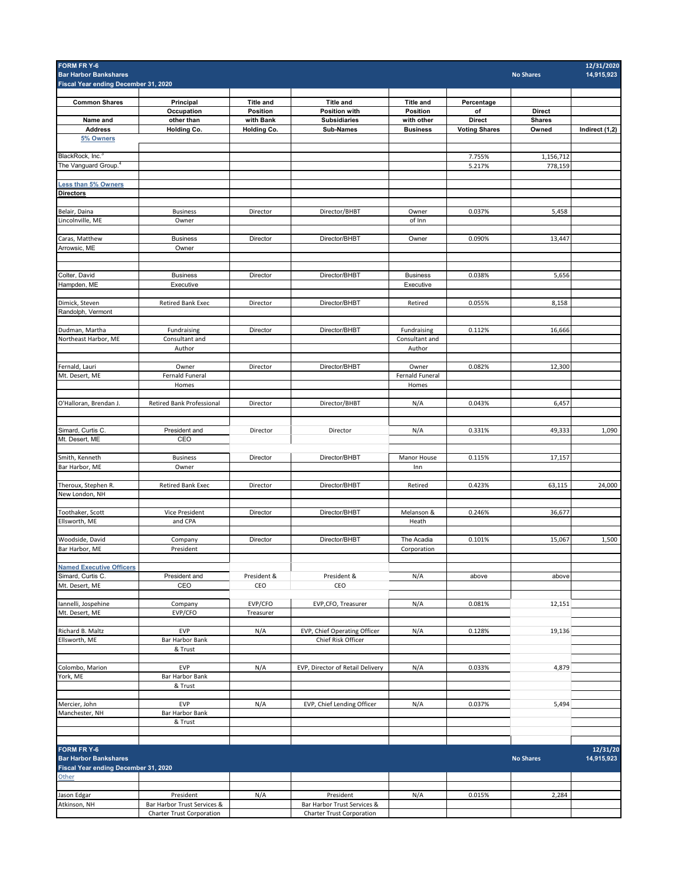| FORM FR Y-6<br><b>Bar Harbor Bankshares</b><br>Fiscal Year ending December 31, 2020 |                                  |                       |                                             |                           |                      | <b>No Shares</b>               | 12/31/2020<br>14,915,923 |
|-------------------------------------------------------------------------------------|----------------------------------|-----------------------|---------------------------------------------|---------------------------|----------------------|--------------------------------|--------------------------|
|                                                                                     |                                  |                       |                                             |                           |                      |                                |                          |
| <b>Common Shares</b>                                                                | Principal                        | <b>Title and</b>      | <b>Title and</b>                            | <b>Title and</b>          | Percentage           |                                |                          |
| Name and                                                                            | Occupation<br>other than         | Position<br>with Bank | <b>Position with</b><br><b>Subsidiaries</b> | Position<br>with other    | of<br><b>Direct</b>  | <b>Direct</b><br><b>Shares</b> |                          |
| <b>Address</b>                                                                      | <b>Holding Co.</b>               | Holding Co.           | <b>Sub-Names</b>                            | <b>Business</b>           | <b>Voting Shares</b> | Owned                          | Indirect (1,2)           |
| 5% Owners                                                                           |                                  |                       |                                             |                           |                      |                                |                          |
| BlackRock, Inc. <sup>3</sup>                                                        |                                  |                       |                                             |                           | 7.755%               | 1,156,712                      |                          |
| The Vanguard Group. <sup>4</sup>                                                    |                                  |                       |                                             |                           | 5.217%               | 778,159                        |                          |
|                                                                                     |                                  |                       |                                             |                           |                      |                                |                          |
| <b>Less than 5% Owners</b><br><b>Directors</b>                                      |                                  |                       |                                             |                           |                      |                                |                          |
|                                                                                     |                                  |                       |                                             |                           |                      |                                |                          |
| Belair, Daina                                                                       | <b>Business</b>                  | Director              | Director/BHBT                               | Owner                     | 0.037%               | 5,458                          |                          |
| Lincolnville, ME                                                                    | Owner                            |                       |                                             | of Inn                    |                      |                                |                          |
| Caras, Matthew                                                                      | <b>Business</b>                  | Director              | Director/BHBT                               | Owner                     | 0.090%               | 13,447                         |                          |
| Arrowsic, ME                                                                        | Owner                            |                       |                                             |                           |                      |                                |                          |
|                                                                                     |                                  |                       |                                             |                           |                      |                                |                          |
| Colter, David                                                                       | <b>Business</b>                  | Director              | Director/BHBT                               | <b>Business</b>           | 0.038%               | 5,656                          |                          |
| Hampden, ME                                                                         | Executive                        |                       |                                             | Executive                 |                      |                                |                          |
|                                                                                     |                                  |                       |                                             |                           |                      |                                |                          |
| Dimick, Steven<br>Randolph, Vermont                                                 | <b>Retired Bank Exec</b>         | Director              | Director/BHBT                               | Retired                   | 0.055%               | 8,158                          |                          |
|                                                                                     |                                  |                       |                                             |                           |                      |                                |                          |
| Dudman, Martha                                                                      | Fundraising                      | Director              | Director/BHBT                               | Fundraising               | 0.112%               | 16,666                         |                          |
| Northeast Harbor, ME                                                                | Consultant and<br>Author         |                       |                                             | Consultant and<br>Author  |                      |                                |                          |
|                                                                                     |                                  |                       |                                             |                           |                      |                                |                          |
| Fernald, Lauri                                                                      | Owner                            | Director              | Director/BHBT                               | Owner                     | 0.082%               | 12,300                         |                          |
| Mt. Desert, ME                                                                      | Fernald Funeral                  |                       |                                             | Fernald Funeral           |                      |                                |                          |
|                                                                                     | Homes                            |                       |                                             | Homes                     |                      |                                |                          |
| O'Halloran, Brendan J.                                                              | Retired Bank Professional        | Director              | Director/BHBT                               | N/A                       | 0.043%               | 6,457                          |                          |
|                                                                                     |                                  |                       |                                             |                           |                      |                                |                          |
| Simard, Curtis C.                                                                   | President and                    | Director              | Director                                    | N/A                       | 0.331%               | 49,333                         | 1,090                    |
| Mt. Desert, ME                                                                      | CEO                              |                       |                                             |                           |                      |                                |                          |
|                                                                                     |                                  |                       |                                             |                           |                      |                                |                          |
| Smith, Kenneth                                                                      | <b>Business</b>                  | Director              | Director/BHBT                               | Manor House               | 0.115%               | 17,157                         |                          |
| Bar Harbor, ME                                                                      | Owner                            |                       |                                             | Inn                       |                      |                                |                          |
| Theroux, Stephen R.                                                                 | <b>Retired Bank Exec</b>         | Director              | Director/BHBT                               | Retired                   | 0.423%               | 63,115                         | 24,000                   |
| New London, NH                                                                      |                                  |                       |                                             |                           |                      |                                |                          |
| Toothaker, Scott                                                                    | Vice President                   | Director              | Director/BHBT                               | Melanson &                | 0.246%               | 36,677                         |                          |
| Ellsworth, ME                                                                       | and CPA                          |                       |                                             | Heath                     |                      |                                |                          |
|                                                                                     |                                  |                       |                                             |                           |                      |                                |                          |
| Woodside, David<br>Bar Harbor, ME                                                   | Company<br>President             | Director              | Director/BHBT                               | The Acadia<br>Corporation | 0.101%               | 15,067                         | 1,500                    |
|                                                                                     |                                  |                       |                                             |                           |                      |                                |                          |
| <b>Named Executive Officers</b>                                                     |                                  |                       |                                             |                           |                      |                                |                          |
| Simard, Curtis C.                                                                   | President and                    | President &           | President &                                 | N/A                       | above                | above                          |                          |
| Mt. Desert, ME                                                                      | CEO                              | CEO                   | CEO                                         |                           |                      |                                |                          |
| Iannelli, Jospehine                                                                 | Company                          | EVP/CFO               | EVP, CFO, Treasurer                         | N/A                       | 0.081%               | 12,151                         |                          |
| Mt. Desert, ME                                                                      | EVP/CFO                          | Treasurer             |                                             |                           |                      |                                |                          |
| Richard B. Maltz                                                                    | EVP                              | N/A                   | EVP, Chief Operating Officer                | N/A                       | 0.128%               | 19,136                         |                          |
| Ellsworth, ME                                                                       | Bar Harbor Bank                  |                       | Chief Risk Officer                          |                           |                      |                                |                          |
|                                                                                     | & Trust                          |                       |                                             |                           |                      |                                |                          |
| Colombo, Marion                                                                     | <b>EVP</b>                       | N/A                   | EVP, Director of Retail Delivery            | N/A                       | 0.033%               | 4,879                          |                          |
| York, ME                                                                            | Bar Harbor Bank                  |                       |                                             |                           |                      |                                |                          |
|                                                                                     | & Trust                          |                       |                                             |                           |                      |                                |                          |
|                                                                                     |                                  |                       |                                             |                           |                      |                                |                          |
| Mercier, John<br>Manchester, NH                                                     | <b>EVP</b><br>Bar Harbor Bank    | N/A                   | EVP, Chief Lending Officer                  | N/A                       | 0.037%               | 5,494                          |                          |
|                                                                                     | & Trust                          |                       |                                             |                           |                      |                                |                          |
|                                                                                     |                                  |                       |                                             |                           |                      |                                |                          |
| FORM FR Y-6                                                                         |                                  |                       |                                             |                           |                      |                                | 12/31/20                 |
| <b>Bar Harbor Bankshares</b>                                                        |                                  |                       |                                             |                           |                      | <b>No Shares</b>               | 14,915,923               |
| Fiscal Year ending December 31, 2020                                                |                                  |                       |                                             |                           |                      |                                |                          |
| Other                                                                               |                                  |                       |                                             |                           |                      |                                |                          |
| Jason Edgar                                                                         | President                        | N/A                   | President                                   | N/A                       | 0.015%               | 2,284                          |                          |
| Atkinson, NH                                                                        | Bar Harbor Trust Services &      |                       | Bar Harbor Trust Services &                 |                           |                      |                                |                          |
|                                                                                     | <b>Charter Trust Corporation</b> |                       | Charter Trust Corporation                   |                           |                      |                                |                          |